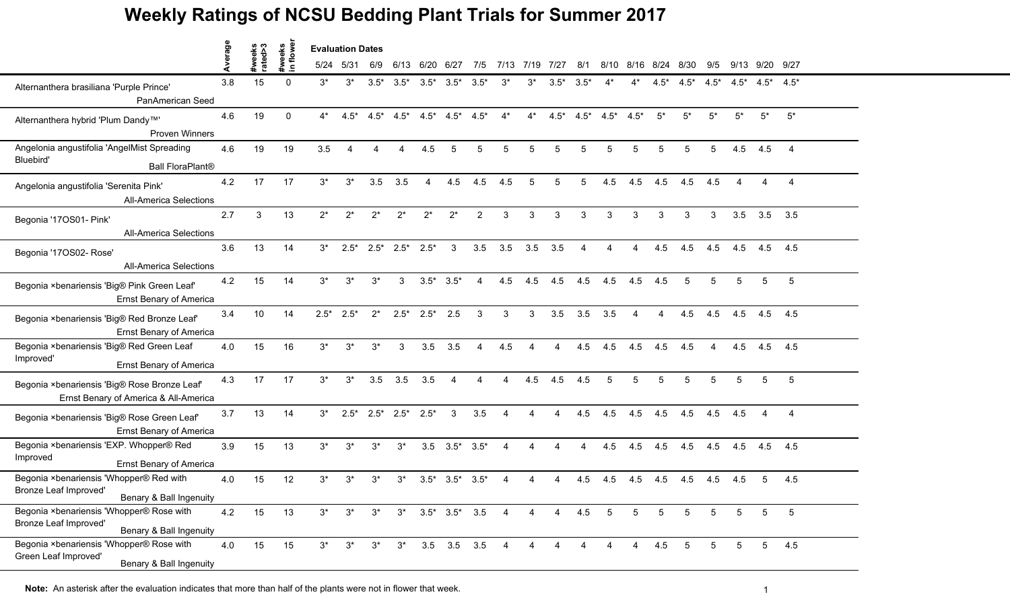|                                                                                              | Average |                   | veeks<br>flowe    | <b>Evaluation Dates</b> |        |        |                          |                             |                |                |                |                |                |                |                |        |                |        |        |        |                 |                 |
|----------------------------------------------------------------------------------------------|---------|-------------------|-------------------|-------------------------|--------|--------|--------------------------|-----------------------------|----------------|----------------|----------------|----------------|----------------|----------------|----------------|--------|----------------|--------|--------|--------|-----------------|-----------------|
|                                                                                              |         | #weeks<br>rated>3 | #we<br>$\epsilon$ | 5/24                    | 5/31   | 6/9    | 6/13                     | 6/20                        | 6/27           | 7/5            |                | 7/13 7/19 7/27 |                | 8/1            | 8/10           |        | 8/16 8/24 8/30 |        | 9/5    |        | 9/13 9/20 9/27  |                 |
| Alternanthera brasiliana 'Purple Prince'<br>PanAmerican Seed                                 | 3.8     | 15                | $\Omega$          | $3^*$                   | $3^*$  | $3.5*$ | $3.5^*$                  | $3.5*$                      | $3.5*$         | $3.5*$         | $3^*$          | 3*             | $3.5*$         | $3.5*$         |                | 4*     | $4.5*$         | $4.5*$ | $4.5*$ | $4.5*$ | $4.5^*$         | $4.5*$          |
| Alternanthera hybrid 'Plum Dandy™'<br><b>Proven Winners</b>                                  | 4.6     | 19                | $\mathbf{0}$      | $4^*$                   | $4.5*$ | $4.5*$ | $4.5*$                   | $4.5*$                      | $4.5*$         | $4.5*$         | $4^*$          | $4^*$          | $4.5*$         | $4.5*$         | $4.5*$         | $4.5*$ | $5^*$          | $5^*$  | $5*$   | $5*$   | $5^*$           | $5^*$           |
| Angelonia angustifolia 'AngelMist Spreading                                                  | 4.6     | 19                | 19                | 3.5                     | Δ      |        | $\boldsymbol{\varDelta}$ | 4.5                         | 5              | 5              | 5              | 5              | 5              | 5              |                | 5      | 5              | 5      | 5      | 4.5    | 4.5             | $\overline{4}$  |
| Bluebird'<br><b>Ball FloraPlant®</b>                                                         |         |                   |                   |                         |        |        |                          |                             |                |                |                |                |                |                |                |        |                |        |        |        |                 |                 |
| Angelonia angustifolia 'Serenita Pink'<br><b>All-America Selections</b>                      | 4.2     | 17                | 17                | $3^*$                   | $3^*$  | 3.5    | 3.5                      | 4                           | 4.5            | 4.5            | 4.5            | 5              | 5              | 5              | 4.5            | 4.5    | 4.5            | 4.5    | 4.5    |        |                 | $\overline{4}$  |
| Begonia '17OS01- Pink'<br><b>All-America Selections</b>                                      | 2.7     | 3                 | 13                | $2^*$                   | $2^*$  | $2^*$  | $2^*$                    | $2^*$                       | $2^*$          | $\overline{2}$ | 3              | 3              | 3              | 3              | 3              | 3      | 3              | 3      | 3      | 3.5    | 3.5             | 3.5             |
| Begonia '17OS02- Rose'<br><b>All-America Selections</b>                                      | 3.6     | 13                | 14                | $3^*$                   | $2.5*$ | $2.5*$ | $2.5*$                   | $2.5*$                      | 3              | 3.5            | 3.5            | 3.5            | 3.5            | $\overline{4}$ | $\overline{A}$ | 4      | 4.5            | 4.5    | 4.5    | 4.5    | 4.5             | 4.5             |
| Begonia ×benariensis 'Big® Pink Green Leaf'<br><b>Ernst Benary of America</b>                | 4.2     | 15                | 14                | $3^*$                   | $3^*$  | $3^*$  | 3                        | $3.5*$                      | $3.5*$         | 4              | 4.5            | 4.5            | 4.5            | 4.5            | 4.5            | 4.5    | 4.5            | 5      | 5      | 5      | 5               | 5               |
| Begonia ×benariensis 'Big® Red Bronze Leaf'<br><b>Ernst Benary of America</b>                | 3.4     | 10                | 14                | $2.5*$                  | $2.5*$ | $2^*$  | $2.5*$                   | $2.5*$                      | 2.5            | 3              | 3              | 3              | 3.5            | 3.5            | 3.5            | 4      | 4              | 4.5    | 4.5    | 4.5    | 4.5             | 4.5             |
| Begonia ×benariensis 'Big® Red Green Leaf<br>Improved'<br><b>Ernst Benary of America</b>     | 4.0     | 15                | 16                | $3^*$                   | $3^*$  | $3^*$  | 3                        | 3.5                         | 3.5            | Δ              | 4.5            |                |                | 4.5            | 4.5            | 4.5    | 4.5            | 4.5    |        | 4.5    | 4.5             | 4.5             |
| Begonia ×benariensis 'Big® Rose Bronze Leaf'<br>Ernst Benary of America & All-America        | 4.3     | 17                | 17                | $3^*$                   | $3^*$  | 3.5    | 3.5                      | 3.5                         | $\overline{A}$ | 4              | Δ              | 4.5            | 4.5            | 4.5            | 5              | 5      | 5              | 5      | 5      | 5      | 5               | $5\phantom{.0}$ |
| Begonia ×benariensis 'Big® Rose Green Leaf'<br><b>Ernst Benary of America</b>                | 3.7     | 13                | 14                | $3^*$                   | $2.5*$ |        | $2.5^*$ 2.5*             | $2.5*$                      | 3              | 3.5            | 4              | 4              |                | 4.5            | 4.5            | 4.5    | 4.5            | 4.5    | 4.5    | 4.5    | 4               | $\overline{4}$  |
| Begonia ×benariensis 'EXP. Whopper® Red<br>Improved<br><b>Ernst Benary of America</b>        | 3.9     | 15                | 13                | $3^*$                   | $3^*$  | $3^*$  | $3^*$                    | 3.5                         | $3.5*$         | $3.5*$         | 4              | 4              |                | 4              | 4.5            | 4.5    | 4.5            | 4.5    | 4.5    | 4.5    | 4.5             | 4.5             |
| Begonia ×benariensis 'Whopper® Red with<br>Bronze Leaf Improved'<br>Benary & Ball Ingenuity  | 4.0     | 15                | 12                | 3*                      | $3^*$  | 3*     | 3*                       | $3.5*$                      | $3.5*$         | $3.5*$         |                |                |                | 4.5            | 4.5            | 4.5    | 4.5            | 4.5    | 4.5    | 4.5    | 5               | 4.5             |
| Begonia ×benariensis 'Whopper® Rose with<br>Bronze Leaf Improved'<br>Benary & Ball Ingenuity | 4.2     | 15                | 13                | $3^*$                   | $3^*$  | $3^*$  |                          | $3^*$ $3.5^*$ $3.5^*$ $3.5$ |                |                | 4              | 4              | 4              | 4.5            | 5              | 5      | 5              | 5      | 5.     | 5      | 5               | 5               |
| Begonia ×benariensis 'Whopper® Rose with<br>Green Leaf Improved'<br>Benary & Ball Ingenuity  | 4.0     | 15                | 15                | $3^*$                   | $3^*$  | $3^*$  | $3^*$                    |                             |                | 3.5 3.5 3.5    | $\overline{4}$ | 4              | $\overline{4}$ | $\overline{4}$ |                | 4      | 4.5            | -5     | 5      | 5      | $5\phantom{.0}$ | 4.5             |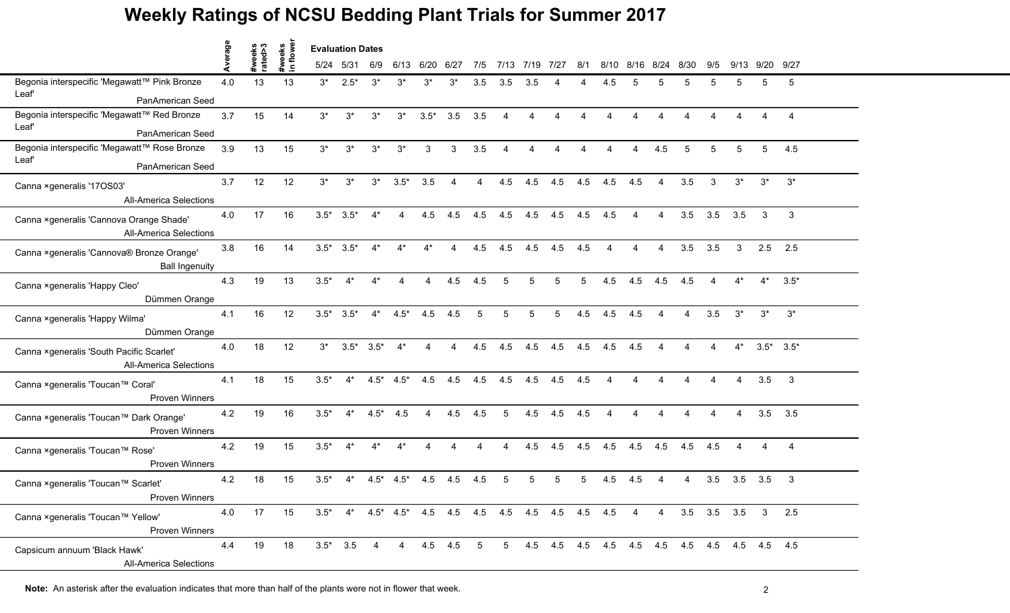|                                                                            | verage |                   |                    |        | <b>Evaluation Dates</b>                                       |        |                        |                |                |             |                |      |                        |     |                        |      |                           |      |                          |                |                 |                |
|----------------------------------------------------------------------------|--------|-------------------|--------------------|--------|---------------------------------------------------------------|--------|------------------------|----------------|----------------|-------------|----------------|------|------------------------|-----|------------------------|------|---------------------------|------|--------------------------|----------------|-----------------|----------------|
|                                                                            | ⋖      | #weeks<br>rated>3 | #weeks<br>in flowe | 5/24   | 5/31                                                          | 6/9    | 6/13                   | 6/20           | 6/27           | 7/5         | 7/13           | 7/19 | 7127                   | 8/1 | 8/10                   | 8/16 | 8/24                      | 8/30 | 9/5                      | 9/13           | 9/20            | 9/27           |
| Begonia interspecific 'Megawatt™ Pink Bronze<br>Leaf                       | 4.0    | 13                | 13                 | $3^*$  | $2.5*$                                                        | $3^*$  | $3^*$                  | 3*             | $3^*$          | 3.5         | 3.5            | 3.5  |                        |     | 4.5                    |      |                           |      |                          |                | 5               | 5              |
| PanAmerican Seed                                                           |        |                   |                    |        |                                                               |        |                        |                |                |             |                |      |                        |     |                        |      |                           |      |                          |                |                 |                |
| Begonia interspecific 'Megawatt™ Red Bronze                                | 3.7    | 15                | 14                 | $3^*$  | $3^*$                                                         | $3^*$  | $3^*$                  | $3.5*$         | 3.5            | 3.5         | $\overline{4}$ | Δ    | Δ                      | Δ   | $\boldsymbol{\Lambda}$ |      |                           |      |                          |                | Δ               | $\overline{4}$ |
| Leaf<br>PanAmerican Seed                                                   |        |                   |                    |        |                                                               |        |                        |                |                |             |                |      |                        |     |                        |      |                           |      |                          |                |                 |                |
| Begonia interspecific 'Megawatt™ Rose Bronze                               | 3.9    | 13                | 15                 | $3^*$  | $3^*$                                                         | $3^*$  | $3^*$                  | 3              | 3              | 3.5         | $\overline{4}$ | Δ    | $\boldsymbol{\Lambda}$ | Δ   | $\boldsymbol{\Lambda}$ | 4    | 4.5                       | 5    | 5                        | 5              | 5               | 4.5            |
| Leaf<br>PanAmerican Seed                                                   |        |                   |                    |        |                                                               |        |                        |                |                |             |                |      |                        |     |                        |      |                           |      |                          |                |                 |                |
| Canna ×generalis '17OS03'<br><b>All-America Selections</b>                 | 3.7    | 12                | 12                 | $3^*$  | $3^*$                                                         | $3^*$  | $3.5*$                 | 3.5            | $\overline{4}$ | 4           | 4.5            | 4.5  | 4.5                    | 4.5 | 4.5                    | 4.5  | $\overline{4}$            | 3.5  | 3                        | $3^*$          | $3^*$           | $3^*$          |
| Canna ×generalis 'Cannova Orange Shade'<br><b>All-America Selections</b>   | 4.0    | 17                | 16                 | $3.5*$ | $3.5*$                                                        |        |                        | 4.5            | 4.5            | 4.5         | 4.5            | 4.5  | 4.5                    | 4.5 | 4.5                    |      |                           | 3.5  | 3.5                      | 3.5            | 3               | 3              |
| Canna ×generalis 'Cannova® Bronze Orange'<br><b>Ball Ingenuity</b>         | 3.8    | 16                | 14                 | $3.5*$ | $3.5*$                                                        | $4^*$  | $4^*$                  | $4^*$          | $\overline{4}$ | 4.5         | 4.5            | 4.5  | 4.5                    | 4.5 | $\boldsymbol{\Lambda}$ | Δ    | $\boldsymbol{\Lambda}$    | 3.5  | 3.5                      | 3              | 2.5             | 2.5            |
| Canna ×generalis 'Happy Cleo'<br>Dümmen Orange                             | 4.3    | 19                | 13                 | $3.5*$ | $4^*$                                                         | $4^*$  | $\boldsymbol{\Lambda}$ | 4              | 4.5            | 4.5         | 5              | 5    | 5                      | 5   | 4.5                    | 4.5  | 4.5                       | 4.5  | $\boldsymbol{\Lambda}$   | $4^*$          | $4^*$           | $3.5*$         |
| Canna ×generalis 'Happy Wilma'<br>Dümmen Orange                            | 4.1    | 16                | 12                 | $3.5*$ | $3.5*$                                                        |        | $4^*$ $4.5^*$          | 4.5            | 4.5            | 5           | 5              | 5    | 5                      | 4.5 | 4.5                    | 4.5  | $\overline{4}$            | Δ    | 3.5                      | $3^*$          | $3^*$           | $3^*$          |
| Canna × generalis 'South Pacific Scarlet'<br><b>All-America Selections</b> | 4.0    | 18                | 12                 | $3^*$  | $3.5*$                                                        | $3.5*$ | $4^*$                  |                |                | 4.5         | 4.5            | 4.5  | 4.5                    | 4.5 | 4.5                    | 4.5  |                           |      |                          |                | $3.5^*$ $3.5^*$ |                |
| Canna ×generalis 'Toucan™ Coral'<br><b>Proven Winners</b>                  | 4.1    | 18                | 15                 | $3.5*$ | $4^*$                                                         | $4.5*$ | $4.5*$                 | 4.5            | 4.5            | 4.5         | 4.5            | 4.5  | 4.5                    | 4.5 | $\boldsymbol{\Lambda}$ |      |                           |      |                          | 4              | 3.5             | $\mathbf{3}$   |
| Canna ×generalis 'Toucan™ Dark Orange'<br><b>Proven Winners</b>            | 4.2    | 19                | 16                 | $3.5*$ | $4^*$                                                         | $4.5*$ | 4.5                    | $\overline{4}$ | 4.5            | 4.5         | 5              | 4.5  | 4.5                    | 4.5 | $\boldsymbol{\Lambda}$ | Δ    | $\boldsymbol{\varLambda}$ | Δ    | $\boldsymbol{\varDelta}$ | $\overline{4}$ | 3.5             | 3.5            |
| Canna ×generalis 'Toucan™ Rose'<br><b>Proven Winners</b>                   | 4.2    | 19                | 15                 | $3.5*$ | $4^*$                                                         | $4^*$  | $4^*$                  | Δ              |                |             |                | 4.5  | 4.5                    | 4.5 | 4.5                    | 4.5  | 4.5                       | 4.5  | 4.5                      |                |                 | $\overline{4}$ |
| Canna ×generalis 'Toucan™ Scarlet'<br>Proven Winners                       | 4.2    | 18                | 15                 | $3.5*$ | $4^*$                                                         | $4.5*$ | $4.5*$                 | 4.5            | 4.5            | 4.5         |                |      |                        | 5   | 4.5                    | 4.5  |                           |      | 3.5                      | 3.5            | 3.5             | 3              |
| Canna ×generalis 'Toucan™ Yellow'<br>Proven Winners                        | 4.0    | 17                | 15                 |        | $3.5^*$ 4* $4.5^*$ 4.5* 4.5 4.5 4.5 4.5 4.5 4.5 4.5 4.5 4.5 4 |        |                        |                |                |             |                |      |                        |     |                        |      | 4                         |      | $3.5$ $3.5$ $3.5$        |                | $3\quad 2.5$    |                |
| Capsicum annuum 'Black Hawk'<br><b>All-America Selections</b>              | 4.4    | 19                | 18                 |        | $3.5^*$ 3.5                                                   | 4      | $\overline{4}$         |                | 4.5 4.5        | $5^{\circ}$ | 5 <sup>5</sup> |      |                        |     |                        |      |                           |      |                          |                |                 |                |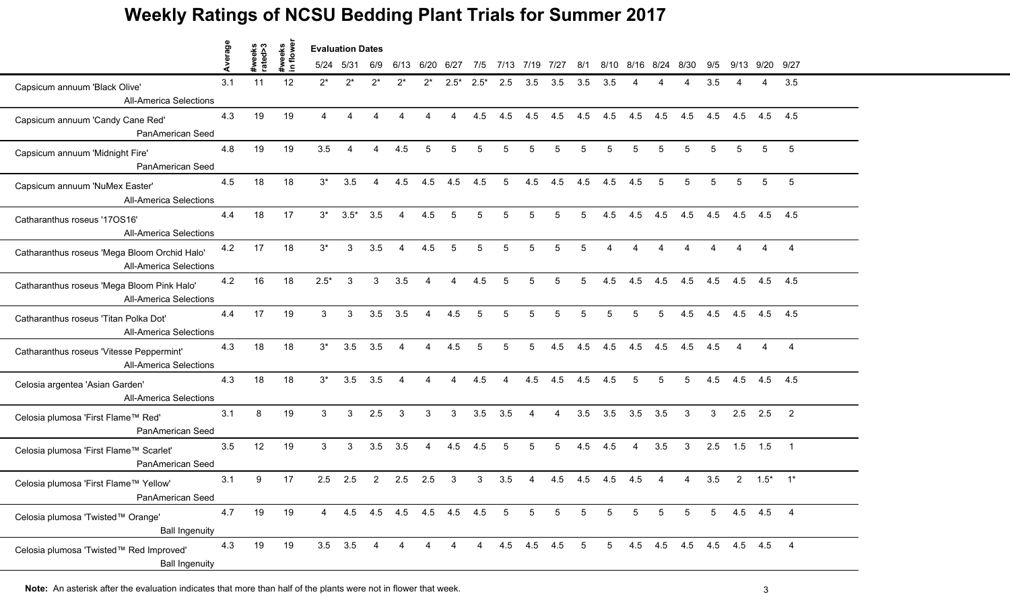|                                                                               | werage |                   | tweeks<br>n flowei | <b>Evaluation Dates</b> |                |                |                        |                |                         |                |                |           |                 |                 |                |                |                 |                           |              |      |              |                          |
|-------------------------------------------------------------------------------|--------|-------------------|--------------------|-------------------------|----------------|----------------|------------------------|----------------|-------------------------|----------------|----------------|-----------|-----------------|-----------------|----------------|----------------|-----------------|---------------------------|--------------|------|--------------|--------------------------|
|                                                                               |        | #weeks<br>rated>3 | $\blacksquare$     | 5/24 5/31               |                | 6/9            | 6/13                   | 6/20           | 6/27                    | 7/5            |                | 7/13 7/19 | 7/27            | 8/1             |                | 8/10 8/16 8/24 |                 | 8/30                      | 9/5          | 9/13 | 9/20 9/27    |                          |
| Capsicum annuum 'Black Olive'<br><b>All-America Selections</b>                | 3.1    | 11                | 12                 | $2^*$                   | $2^*$          | $2^*$          | 2*                     | $2^*$          | $2.5*$                  | $2.5*$         | 2.5            | 3.5       | 3.5             | 3.5             | 3.5            |                |                 |                           | 3.5          |      | Δ            | 3.5                      |
| Capsicum annuum 'Candy Cane Red'<br>PanAmerican Seed                          | 4.3    | 19                | 19                 | $\overline{4}$          | 4              | Δ              | $\Delta$               | 4              | $\overline{4}$          | 4.5            | 4.5            | 4.5       | 4.5             | 4.5             | 4.5            | 4.5            | 4.5             | 4.5                       | 4.5          | 4.5  | 4.5          | 4.5                      |
| Capsicum annuum 'Midnight Fire'<br>PanAmerican Seed                           | 4.8    | 19                | 19                 | 3.5                     | 4              | $\overline{4}$ | 4.5                    | 5              | 5                       | 5              | 5              | 5         | 5               | 5               | 5              | 5              | 5               | 5                         | 5            | 5    | 5            | 5                        |
| Capsicum annuum 'NuMex Easter'<br><b>All-America Selections</b>               | 4.5    | 18                | 18                 | $3^*$                   | 3.5            | $\overline{4}$ | 4.5                    | 4.5            | 4.5                     | 4.5            | 5              | 4.5       | 4.5             | 4.5             | 4.5            | 4.5            | 5               | 5                         | 5            | 5    | 5            | 5                        |
| Catharanthus roseus '170S16'<br><b>All-America Selections</b>                 | 4.4    | 18                | 17                 | $3^*$                   | $3.5*$         | 3.5            | $\boldsymbol{\Lambda}$ | 4.5            | 5                       | 5              | 5              | 5         | 5               | 5               | 4.5            | 4.5            | 4.5             | 4.5                       | 4.5          | 4.5  | 4.5          | 4.5                      |
| Catharanthus roseus 'Mega Bloom Orchid Halo'<br><b>All-America Selections</b> | 4.2    | 17                | 18                 | $3^*$                   | 3              | 3.5            | $\overline{4}$         | 4.5            | 5                       | 5              | 5              | 5         | 5               | 5               | 4              | 4              | 4               | $\mathbf 4$               | 4            | 4    | 4            | $\overline{4}$           |
| Catharanthus roseus 'Mega Bloom Pink Halo'<br><b>All-America Selections</b>   | 4.2    | 16                | 18                 | $2.5*$                  | 3              | $\mathbf{3}$   | 3.5                    | $\overline{4}$ | $\overline{4}$          | 4.5            | 5              | 5         | 5               | 5               | 4.5            | 4.5            | 4.5             | 4.5                       | 4.5          |      | 4.5 4.5 4.5  |                          |
| Catharanthus roseus 'Titan Polka Dot'<br><b>All-America Selections</b>        | 4.4    | 17                | 19                 | 3                       | 3              | 3.5            | 3.5                    | $\overline{4}$ | 4.5                     | 5              | 5              | 5         | 5               | 5               | 5              | 5              | $5\overline{)}$ | 4.5                       | 4.5          | 4.5  | 4.5          | 4.5                      |
| Catharanthus roseus 'Vitesse Peppermint'<br><b>All-America Selections</b>     | 4.3    | 18                | 18                 | $3^*$                   | 3.5            | 3.5            | $\boldsymbol{\Lambda}$ | 4              | 4.5                     | 5              | 5              | 5         | 4.5             | 4.5             | 4.5            | 4.5            | 4.5             | 4.5                       | 4.5          |      |              |                          |
| Celosia argentea 'Asian Garden'<br><b>All-America Selections</b>              | 4.3    | 18                | 18                 | $3^*$                   | 3.5            | 3.5            | $\overline{4}$         | $\overline{4}$ | $\overline{4}$          | 4.5            | $\overline{4}$ | 4.5       | 4.5             | 4.5             | 4.5            | 5              | $5\overline{)}$ | $5\overline{)}$           | 4.5          | 4.5  | 4.5          | 4.5                      |
| Celosia plumosa 'First Flame™ Red'<br>PanAmerican Seed                        | 3.1    | 8                 | 19                 | 3 <sup>1</sup>          | 3              | 2.5            | $\mathbf{3}$           | 3              | $\mathbf{3}$            | 3.5            | 3.5            | 4         | $\overline{4}$  | 3.5             | 3.5            |                | $3.5$ $3.5$     | $\overline{\mathbf{3}}$   | $\mathbf{3}$ |      | $2.5$ 2.5    | $\overline{\phantom{a}}$ |
| Celosia plumosa 'First Flame™ Scarlet'<br>PanAmerican Seed                    | 3.5    | 12                | 19                 | 3                       | 3              | 3.5            | 3.5                    | $\overline{4}$ | 4.5                     | 4.5            | 5              | 5         | 5               | 4.5             | 4.5            | $\overline{4}$ | 3.5             | $\mathbf{3}$              | 2.5          | 1.5  | 1.5          | $\overline{1}$           |
| Celosia plumosa 'First Flame™ Yellow'<br>PanAmerican Seed                     | 3.1    | 9                 | 17                 | 2.5                     | 2.5            | $\overline{2}$ | 2.5                    | 2.5            | 3                       | 3              | 3.5            |           | 4.5             | 4.5             | 4.5            | 4.5            | 4               |                           | 3.5          |      | $2 \t 1.5^*$ | $1^*$                    |
| Celosia plumosa 'Twisted™ Orange'<br><b>Ball Ingenuity</b>                    | 4.7    | 19                | 19                 | $4 \quad$               |                |                |                        |                | 4.5 4.5 4.5 4.5 4.5 4.5 |                | 5              | 5         | $5\phantom{.0}$ | $5\overline{)}$ | 5              | 5              | 5               | 5                         | 5            |      | 4.5 4.5 4    |                          |
| Celosia plumosa 'Twisted™ Red Improved'<br><b>Ball Ingenuity</b>              | 4.3    | 19                | 19                 |                         | $3.5\quad 3.5$ | -4             |                        | 4              | $\overline{4}$          | $\overline{4}$ |                |           | 4.5 4.5 4.5 5   |                 | 5 <sub>5</sub> |                |                 | 4.5 4.5 4.5 4.5 4.5 4.5 4 |              |      |              |                          |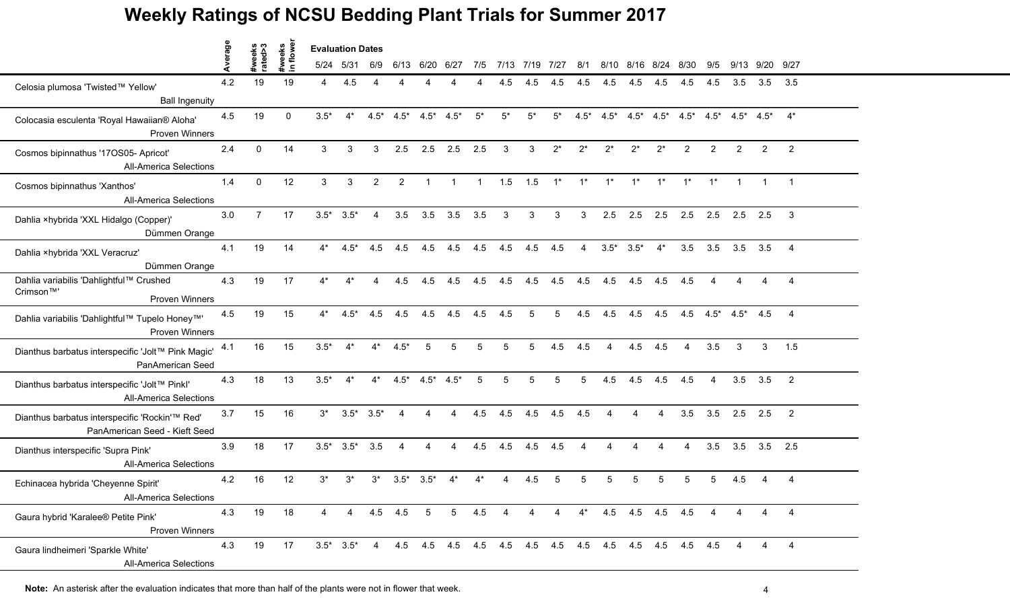|                                                                                 | age |                   |                     | <b>Evaluation Dates</b> |                 |                 |                |                 |                   |                |                |                |                |                 |                |                       |                     |                                                               |                        |                |                |                          |
|---------------------------------------------------------------------------------|-----|-------------------|---------------------|-------------------------|-----------------|-----------------|----------------|-----------------|-------------------|----------------|----------------|----------------|----------------|-----------------|----------------|-----------------------|---------------------|---------------------------------------------------------------|------------------------|----------------|----------------|--------------------------|
|                                                                                 |     | #weeks<br>rated>3 | #weeks<br>in flower |                         | 5/24 5/31       | 6/9             |                | 6/13 6/20 6/27  |                   | 7/5            | 7/13 7/19 7/27 |                |                | 8/1             |                |                       | 8/10 8/16 8/24 8/30 |                                                               | 9/5                    |                | 9/13 9/20 9/27 |                          |
| Celosia plumosa 'Twisted™ Yellow'<br><b>Ball Ingenuity</b>                      | 4.2 | 19                | 19                  | 4                       | 4.5             |                 |                |                 |                   |                | 4.5            | 4.5            | 4.5            | 4.5             | 4.5            | 4.5                   | 4.5                 | 4.5                                                           | 4.5                    | 3.5            | 3.5            | 3.5                      |
| Colocasia esculenta 'Royal Hawaiian® Aloha'<br><b>Proven Winners</b>            | 4.5 | 19                | $\Omega$            | $3.5*$                  | $4^*$           | $4.5*$          | $4.5^*$        | $4.5^*$ $4.5^*$ |                   | $5^*$          | $5^*$          | $5^*$          | $5^*$          | $4.5*$          |                |                       |                     | $4.5^*$ $4.5^*$ $4.5^*$ $4.5^*$ $4.5^*$ $4.5^*$ $4.5^*$ $4^*$ |                        |                |                |                          |
| Cosmos bipinnathus '17OS05- Apricot'<br><b>All-America Selections</b>           | 2.4 | $\Omega$          | 14                  | 3                       | 3               | $\mathcal{S}$   | 2.5            |                 | $2.5$ $2.5$ $2.5$ |                | 3              | 3 <sup>1</sup> | $2^*$          | $2^*$           | $2^*$          | $2^*$                 | $2^*$               | $\overline{2}$                                                | 2                      | $\overline{2}$ | 2              | 2                        |
| Cosmos bipinnathus 'Xanthos'<br><b>All-America Selections</b>                   | 1.4 | $\mathbf{0}$      | 12                  | 3                       | 3               | $\overline{2}$  | 2              | $\overline{1}$  | $\overline{1}$    | $\overline{1}$ |                | $1.5$ $1.5$    | $1^*$          | $1^*$           | $1^*$          | $1^*$                 | $1^*$               | $1^*$                                                         | $1^*$                  |                |                |                          |
| Dahlia ×hybrida 'XXL Hidalgo (Copper)'<br>Dümmen Orange                         | 3.0 | $\overline{7}$    | 17                  |                         | $3.5^*$ $3.5^*$ | $\overline{4}$  | 3.5            | 3.5             | 3.5               | 3.5            | 3              | 3              | 3              | 3               | 2.5            |                       |                     | 2.5 2.5 2.5 2.5                                               |                        | $2.5$ 2.5      |                | -3                       |
| Dahlia ×hybrida 'XXL Veracruz'<br>Dümmen Orange                                 | 4.1 | 19                | 14                  | $4^*$                   | $4.5*$          | 4.5             | 4.5            | 4.5             | 4.5               | 4.5            | 4.5            | 4.5            | 4.5            | $\overline{4}$  |                | $3.5^*$ $3.5^*$ $4^*$ |                     | 3.5                                                           | 3.5                    | 3.5            | 3.5            | $\overline{4}$           |
| Dahlia variabilis 'Dahlightful™ Crushed<br>Crimson™'<br><b>Proven Winners</b>   | 4.3 | 19                | 17                  | $4^*$                   | $4^*$           | $\overline{4}$  | 4.5            | 4.5             | 4.5               | 4.5            | 4.5            | 4.5            | 4.5            | 4.5             | 4.5            |                       | 4.5 4.5 4.5         |                                                               | $\boldsymbol{\Lambda}$ | $\overline{4}$ | $\overline{4}$ | $\overline{4}$           |
| Dahlia variabilis 'Dahlightful™ Tupelo Honey™'<br><b>Proven Winners</b>         | 4.5 | 19                | 15                  | $4^*$                   | $4.5*$          | 4.5             | 4.5            | 4.5             | 4.5               | 4.5            | 4.5            | 5              | 5              | 4.5             | 4.5            | 4.5                   |                     | 4.5 4.5 4.5 $\star$ 4.5 4.5                                   |                        |                |                | $\overline{4}$           |
| Dianthus barbatus interspecific 'Jolt™ Pink Magic'<br>PanAmerican Seed          | 4.1 | 16                | 15                  | $3.5*$                  | $4^*$           | $4^*$           | $4.5*$         | 5               | 5                 |                | 5              | 5              | 4.5            | 4.5             | 4              | 4.5                   | 4.5                 |                                                               | 3.5                    | 3              | 3              | 1.5                      |
| Dianthus barbatus interspecific 'Jolt™ Pinkl'<br><b>All-America Selections</b>  | 4.3 | 18                | 13                  | $3.5*$                  | $4^*$           | $4^*$           | $4.5*$         | $4.5^*$ $4.5^*$ |                   | 5              | 5              | 5              | 5              | $5\phantom{.0}$ | 4.5            | 4.5                   | 4.5                 | 4.5                                                           | $\overline{4}$         | 3.5            | 3.5            | $\overline{\phantom{0}}$ |
| Dianthus barbatus interspecific 'Rockin'™ Red'<br>PanAmerican Seed - Kieft Seed | 3.7 | 15                | 16                  | $3^*$                   |                 | $3.5^*$ $3.5^*$ | $\overline{4}$ | 4               | $\overline{A}$    | 4.5            | 4.5            | 4.5            |                | $4.5$ $4.5$     | $\overline{4}$ | $\overline{4}$        | $\overline{A}$      | 3.5                                                           | 3.5                    |                | $2.5$ 2.5      | $\overline{\phantom{0}}$ |
| Dianthus interspecific 'Supra Pink'<br><b>All-America Selections</b>            | 3.9 | 18                | 17                  |                         | $3.5^*$ $3.5^*$ | 3.5             | $\overline{4}$ | 4               | 4                 | 4.5            | 4.5            | 4.5            | 4.5            | $\overline{4}$  | 4              | 4                     | 4                   | $\overline{4}$                                                | 3.5                    | 3.5            |                | $3.5$ 2.5                |
| Echinacea hybrida 'Cheyenne Spirit'<br><b>All-America Selections</b>            | 4.2 | 16                | 12                  | $3^*$                   | $3^*$           | $3^*$           | $3.5*$         | $3.5*$          |                   |                |                | 4.5            | 5              | 5               | 5              | 5                     | 5                   |                                                               | 5                      | 4.5            | 4              | 4                        |
| Gaura hybrid 'Karalee® Petite Pink'<br>Proven Winners                           | 4.3 | 19                | 18                  | Δ                       | 4               |                 | $4.5$ $4.5$    | $5\overline{5}$ | 5 <sup>5</sup>    | 4.5            | 4              | 4              | $\overline{4}$ | $4^*$           |                |                       | 4.5 4.5 4.5 4.5     |                                                               | 4                      | 4              | 4              | $\overline{4}$           |
| Gaura lindheimeri 'Sparkle White'<br><b>All-America Selections</b>              | 4.3 | 19                | 17                  |                         | $3.5^*$ $3.5^*$ | $\overline{4}$  |                |                 |                   |                |                |                |                |                 |                |                       |                     |                                                               |                        | 4              | 4              | $\overline{4}$           |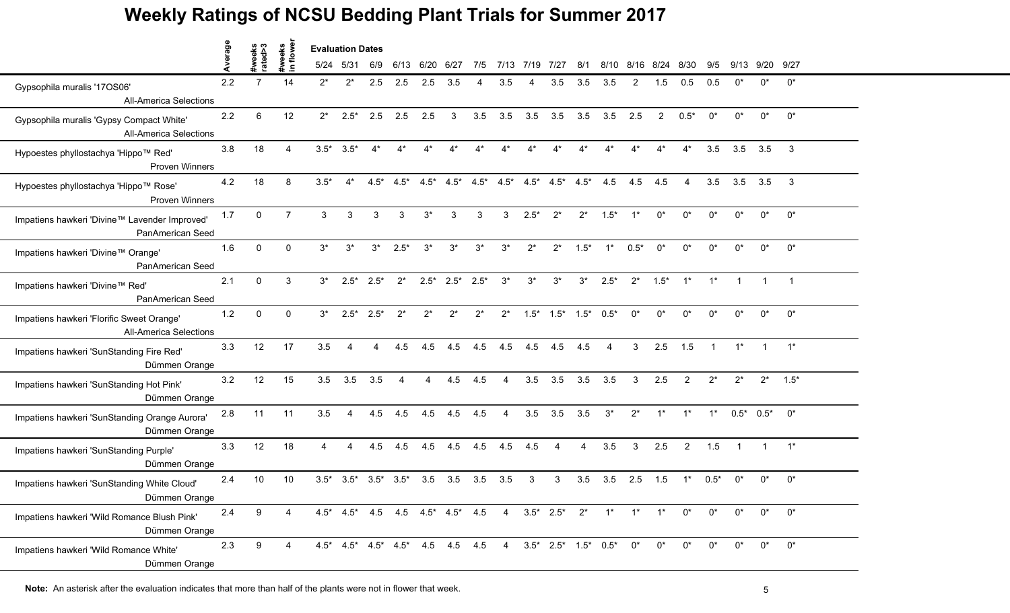|                                                                            | werage |                   | tweeks<br>n flowei |        | <b>Evaluation Dates</b>                                                     |               |        |        |        |        |       |                                                         |                                 |        |        |        |        |                |             |                |              |                |
|----------------------------------------------------------------------------|--------|-------------------|--------------------|--------|-----------------------------------------------------------------------------|---------------|--------|--------|--------|--------|-------|---------------------------------------------------------|---------------------------------|--------|--------|--------|--------|----------------|-------------|----------------|--------------|----------------|
|                                                                            |        | #weeks<br>rated>3 | $\blacksquare$     |        | 5/24 5/31                                                                   | 6/9           | 6/13   | 6/20   | 6/27   | 7/5    | 7/13  | 7/19                                                    | 7/27                            | 8/1    | 8/10   | 8/16   | 8/24   | 8/30           | 9/5         | 9/13           | 9/20 9/27    |                |
| Gypsophila muralis '17OS06'<br><b>All-America Selections</b>               | 2.2    | 7                 | 14                 | $2^*$  | $2^*$                                                                       | 2.5           | 2.5    | 2.5    | 3.5    |        | 3.5   |                                                         | 3.5                             | 3.5    | 3.5    | 2      | 1.5    | 0.5            |             | n*             | $0^*$        | $0^*$          |
| Gypsophila muralis 'Gypsy Compact White'<br><b>All-America Selections</b>  | 2.2    | 6                 | 12                 | $2^*$  | $2.5*$                                                                      | 2.5           | 2.5    | 2.5    | 3      | 3.5    | 3.5   | 3.5                                                     | 3.5                             | 3.5    | 3.5    | 2.5    | 2      | $0.5*$         | $0^*$       | $0^*$          | $0^*$        | $0^*$          |
| Hypoestes phyllostachya 'Hippo™ Red'<br>Proven Winners                     | 3.8    | 18                | $\Delta$           |        | $3.5^*$ $3.5^*$                                                             | $4^*$         | $4^*$  |        | $4^*$  |        |       |                                                         | $4^*$                           |        |        |        | $4^*$  | $4^*$          | 3.5         | 3.5            | 3.5          | $\mathbf{3}$   |
| Hypoestes phyllostachya 'Hippo™ Rose'<br>Proven Winners                    | 4.2    | 18                | 8                  | $3.5*$ | $4^*$                                                                       | $4.5*$        | $4.5*$ |        |        |        |       | $4.5^*$ $4.5^*$ $4.5^*$ $4.5^*$ $4.5^*$ $4.5^*$ $4.5^*$ |                                 |        | 4.5    | 4.5    | 4.5    | 4              | 3.5         | 3.5            | 3.5          | $\mathbf{3}$   |
| Impatiens hawkeri 'Divine™ Lavender Improved'<br>PanAmerican Seed          | 1.7    | $\Omega$          | $\overline{7}$     | 3      | 3                                                                           | $\mathcal{R}$ | 3      | $3^*$  | 3      |        | 3     | $2.5*$                                                  | $2^*$                           | $2^*$  | $1.5*$ |        | $0^*$  | $^{\circ}$     | $^{\wedge}$ | $^{\circ}$     | $0^*$        | $0^*$          |
| Impatiens hawkeri 'Divine™ Orange'<br>PanAmerican Seed                     | 1.6    | $\mathbf{0}$      | $\mathbf 0$        | $3^*$  | $3^*$                                                                       | $3^*$         | $2.5*$ | $3^*$  | $3^*$  | $3^*$  | $3^*$ | $2^*$                                                   | $2^*$                           | $1.5*$ | $1^*$  | $0.5*$ | $0^*$  | $0^*$          | $0^*$       | $0^*$          | $0^*$        | $0^*$          |
| Impatiens hawkeri 'Divine™ Red'<br>PanAmerican Seed                        | 2.1    | $\Omega$          | 3                  | $3^*$  |                                                                             | $2.5^*$ 2.5*  | $2^*$  | $2.5*$ | $2.5*$ | $2.5*$ | $3^*$ | $3^*$                                                   | $3^*$                           | $3^*$  | $2.5*$ | $2^*$  | $1.5*$ | $1^*$          | $1^*$       | $\overline{1}$ | $\mathbf{1}$ | $\overline{1}$ |
| Impatiens hawkeri 'Florific Sweet Orange'<br><b>All-America Selections</b> | 1.2    | $\Omega$          | $\mathbf{0}$       | $3^*$  | $2.5*$                                                                      | $2.5*$        | $2^*$  | $2^*$  | $2^*$  | $2^*$  | $2^*$ |                                                         | $1.5^*$ $1.5^*$ $1.5^*$ $0.5^*$ |        |        | $0^*$  | $0^*$  | $0^*$          | $0^*$       | $0^*$          | $0^*$        | $0^*$          |
| Impatiens hawkeri 'SunStanding Fire Red'<br>Dümmen Orange                  | 3.3    | 12                | 17                 | 3.5    | 4                                                                           |               | 4.5    | 4.5    | 4.5    | 4.5    | 4.5   | 4.5                                                     | 4.5                             | 4.5    |        | 3      | 2.5    | 1.5            |             | $1^*$          |              | $1^*$          |
| Impatiens hawkeri 'SunStanding Hot Pink'<br>Dümmen Orange                  | 3.2    | 12                | 15                 | 3.5    | 3.5                                                                         | 3.5           | 4      | 4      | 4.5    | 4.5    | 4     | 3.5                                                     | 3.5                             | 3.5    | 3.5    | 3      | 2.5    | 2              | $2^*$       | $2^*$          | $2^*$        | $1.5*$         |
| Impatiens hawkeri 'SunStanding Orange Aurora'<br>Dümmen Orange             | 2.8    | 11                | 11                 | 3.5    | 4                                                                           | 4.5           | 4.5    | 4.5    | 4.5    | 4.5    | 4     | 3.5                                                     | 3.5                             | 3.5    | $3^*$  | $2^*$  | $1^*$  | $1^*$          | $1^*$       |                | $0.5^*$ 0.5* | $0^*$          |
| Impatiens hawkeri 'SunStanding Purple'<br>Dümmen Orange                    | 3.3    | 12                | 18                 | 4      | 4                                                                           | 4.5           | 4.5    | 4.5    | 4.5    | 4.5    | 4.5   | 4.5                                                     | 4                               | 4      | 3.5    | 3      | 2.5    | $\overline{2}$ | 1.5         | $\overline{1}$ | $\mathbf{1}$ | $1^*$          |
| Impatiens hawkeri 'SunStanding White Cloud'<br>Dümmen Orange               | 2.4    | 10                | 10                 |        | $3.5^*$ $3.5^*$ $3.5^*$ $3.5^*$                                             |               |        | 3.5    | 3.5    | 3.5    | 3.5   | 3                                                       | 3                               | 3.5    | 3.5    | 2.5    | 1.5    | $1^*$          | $0.5*$      | $0^*$          | $0^*$        | $0^*$          |
| Impatiens hawkeri 'Wild Romance Blush Pink'<br>Dümmen Orange               | 2.4    | 9                 | 4                  |        | $4.5^*$ $4.5^*$ $4.5$ $4.5$ $4.5^*$ $4.5^*$ $4.5$ $4$ $3.5^*$ $2.5^*$ $2^*$ |               |        |        |        |        |       |                                                         |                                 |        | $1^*$  | $1^*$  | $1^*$  | $0^*$          | $0^*$       | $0^*$          | $0^*$        | $0^*$          |
| Impatiens hawkeri 'Wild Romance White'<br>Dümmen Orange                    | 2.3    | 9                 | 4                  |        | $4.5^*$ $4.5^*$ $4.5^*$ $4.5^*$ $4.5$ $4.5$ $4.5$                           |               |        |        |        |        |       | 4 3.5* 2.5* 1.5* 0.5*                                   |                                 |        |        | $0^*$  | $0^*$  | $0^*$          | $0^*$       | $0^*$          | $0^*$        | $0^*$          |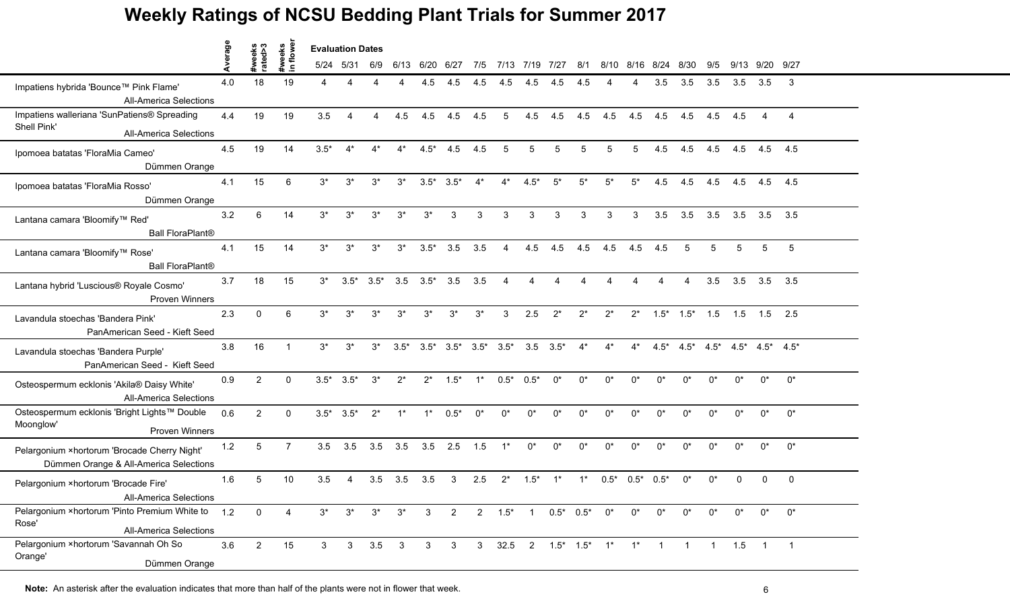|                                                                                             | verage | weeks<br>ated>3 | eks<br>owe             | <b>Evaluation Dates</b> |           |                     |                |                  |                                 |                |                        |                |                                         |                       |             |              |                     |                          |               |       |                         |                |
|---------------------------------------------------------------------------------------------|--------|-----------------|------------------------|-------------------------|-----------|---------------------|----------------|------------------|---------------------------------|----------------|------------------------|----------------|-----------------------------------------|-----------------------|-------------|--------------|---------------------|--------------------------|---------------|-------|-------------------------|----------------|
|                                                                                             |        | ate             |                        |                         | 5/24 5/31 | 6/9                 | 6/13           | 6/20 6/27        |                                 | 7/5            |                        | 7/13 7/19 7/27 |                                         | 8/1                   |             |              | 8/10 8/16 8/24 8/30 |                          | 9/5           | 9/13  | 9/20 9/27               |                |
| Impatiens hybrida 'Bounce™ Pink Flame'<br><b>All-America Selections</b>                     | 4.0    | 18              | 19                     |                         | Δ         |                     |                | 4.5              | 4.5                             | 4.5            | 4.5                    | 4.5            | 4.5                                     | 4.5                   |             | Δ            | 3.5                 | 3.5                      | $3.5^{\circ}$ | 3.5   | 3.5                     | 3              |
| Impatiens walleriana 'SunPatiens® Spreading<br>Shell Pink'<br><b>All-America Selections</b> | 4.4    | 19              | 19                     | 3.5                     | Δ         | 4                   | 4.5            | 4.5              | 4.5                             | 4.5            | 5                      | 4.5            | 4.5                                     | 4.5                   | 4.5         | 4.5          | 4.5                 | 4.5                      | 4.5           | 4.5   | 4                       | $\overline{4}$ |
| Ipomoea batatas 'FloraMia Cameo'<br>Dümmen Orange                                           | 4.5    | 19              | 14                     | $3.5*$                  | $4^*$     | $4^*$               | $4^*$          | $4.5*$           | 4.5                             | 4.5            | 5                      | 5              | 5                                       | 5                     | $5^{\circ}$ | 5            | 4.5                 | 4.5                      | 4.5           |       | 4.5 4.5                 | 4.5            |
| Ipomoea batatas 'FloraMia Rosso'<br>Dümmen Orange                                           | 4.1    | 15              | 6                      | $3^*$                   | $3^*$     | $3^*$               | $3^*$          |                  | $3.5^*$ $3.5^*$                 | $4^*$          | $4^*$                  | $4.5*$         | $5^*$                                   | $5^*$                 | $5^*$       | $5^*$        | 4.5                 | 4.5                      | 4.5           | 4.5   | 4.5                     | 4.5            |
| Lantana camara 'Bloomify™ Red'<br><b>Ball FloraPlant®</b>                                   | 3.2    | 6               | 14                     | $3^*$                   | $3^*$     | $3^*$               | $3^*$          | $3^*$            | 3                               | 3              | $\mathcal{R}$          | 3              | 3                                       | 3                     | 3           | 3            | 3.5                 | 3.5                      | 3.5           |       | $3.5\quad 3.5$          | 3.5            |
| Lantana camara 'Bloomify™ Rose'<br><b>Ball FloraPlant®</b>                                  | 4.1    | 15              | 14                     | $3^*$                   | $3^*$     | $3^*$               | $3^*$          | $3.5*$           | 3.5                             | 3.5            | $\overline{4}$         | 4.5            | 4.5                                     | $4.5$ $4.5$           |             | 4.5          | 4.5                 | 5                        | 5             | 5     | 5                       | 5              |
| Lantana hybrid 'Luscious® Royale Cosmo'<br><b>Proven Winners</b>                            | 3.7    | 18              | 15                     | $3^*$                   |           | $3.5^*$ $3.5^*$     |                | $3.5\quad 3.5^*$ | 3.5                             | 3.5            | $\boldsymbol{\Lambda}$ | 4              |                                         | $\Delta$              |             |              |                     | $\boldsymbol{\varDelta}$ | 3.5           |       | $3.5$ $3.5$ $3.5$       |                |
| Lavandula stoechas 'Bandera Pink'<br>PanAmerican Seed - Kieft Seed                          | 2.3    | $\mathbf{0}$    | 6                      | $3^*$                   | $3^*$     | $3^*$               | $3^*$          | $3^*$            | $3^*$                           | $3^*$          | 3                      | 2.5            | $2^*$                                   | $2^*$                 | $2^*$       | $2^*$        |                     | $1.5^*$ $1.5^*$          | 1.5           | 1.5   | $1.5$ 2.5               |                |
| Lavandula stoechas 'Bandera Purple'<br>PanAmerican Seed - Kieft Seed                        | 3.8    | 16              |                        | $3^*$                   | $3^*$     | $3^*$               | $3.5*$         |                  | $3.5^*$ $3.5^*$ $3.5^*$ $3.5^*$ |                |                        |                | $3.5\quad 3.5^*$                        | $4^*$                 | $4^*$       | $4^*$        | $4.5*$              | $4.5*$                   | $4.5*$        |       | $4.5^*$ $4.5^*$ $4.5^*$ |                |
| Osteospermum ecklonis 'Akila® Daisy White'<br><b>All-America Selections</b>                 | 0.9    | $\overline{2}$  | $\Omega$               | $3.5*$                  | $3.5*$    | $3^*$               | $2^*$          | $2^*$            | $1.5*$                          | $1^*$          | $0.5*$                 | $0.5*$         | $0^*$                                   | $0^*$                 | $0^*$       | $0^*$        | $0^*$               | $0^*$                    | $0^*$         | $0^*$ | $0^*$                   | $0^*$          |
| Osteospermum ecklonis 'Bright Lights™ Double<br>Moonglow'<br><b>Proven Winners</b>          | 0.6    | $\overline{2}$  | $\Omega$               | $3.5*$                  | $3.5*$    | $2^*$               | $1^*$          | $1^*$            | $0.5*$                          | $0^*$          | $0^*$                  | $0^*$          | $0^*$                                   | $0^*$                 | $^{\circ}$  | $0^*$        | $0^*$               | $0^*$                    | $0^*$         | $0^*$ | $0^*$                   | $0^*$          |
| Pelargonium ×hortorum 'Brocade Cherry Night'<br>Dümmen Orange & All-America Selections      | 1.2    | 5               | $\overline{7}$         | 3.5                     | 3.5       |                     | $3.5\quad 3.5$ | 3.5              | 2.5                             | 1.5            | $1^*$                  | $0^*$          | $0^*$                                   | $0^*$                 | $0^*$       | $0^*$        | $0^*$               | $0^*$                    | $0^*$         | $0^*$ | $0^*$                   | $0^*$          |
| Pelargonium ×hortorum 'Brocade Fire'<br><b>All-America Selections</b>                       | 1.6    | 5               | 10                     | 3.5                     | 4         | 3.5                 | 3.5            | 3.5              | 3                               | 2.5            | $2^*$                  | $1.5*$         |                                         | $1^*$                 | $0.5*$      | $0.5^*$ 0.5* |                     | $0^*$                    | በ*            |       | $\mathbf{0}$            | $\mathbf{0}$   |
| Pelargonium ×hortorum 'Pinto Premium White to<br>Rose'<br><b>All-America Selections</b>     | 1.2    | $\overline{0}$  | $\boldsymbol{\Lambda}$ | $3^*$                   | $3^*$     | $3^*$               | $3^*$          | $\mathbf{3}$     | $\overline{2}$                  |                | $2 \t1.5^* \t1$        |                |                                         | $0.5^*$ $0.5^*$ $0^*$ |             | $0^*$        | $0^*$               | $0^*$                    | $0^*$         | $0^*$ | $0^*$                   | $0^*$          |
| Pelargonium ×hortorum 'Savannah Oh So<br>Orange'<br>Dümmen Orange                           | 3.6    | $2^{\circ}$     | 15                     | 3 <sup>1</sup>          |           | $3\quad 3.5\quad 3$ |                | $\mathbf{3}$     | $\mathbf{3}$                    | 3 <sup>7</sup> |                        |                | $32.5$ 2 $1.5^*$ $1.5^*$ 1 <sup>*</sup> |                       |             | $1^*$        | $\mathbf{1}$        | $\mathbf{1}$             | $\mathbf{1}$  | 1.5   | $1 \quad 1$             |                |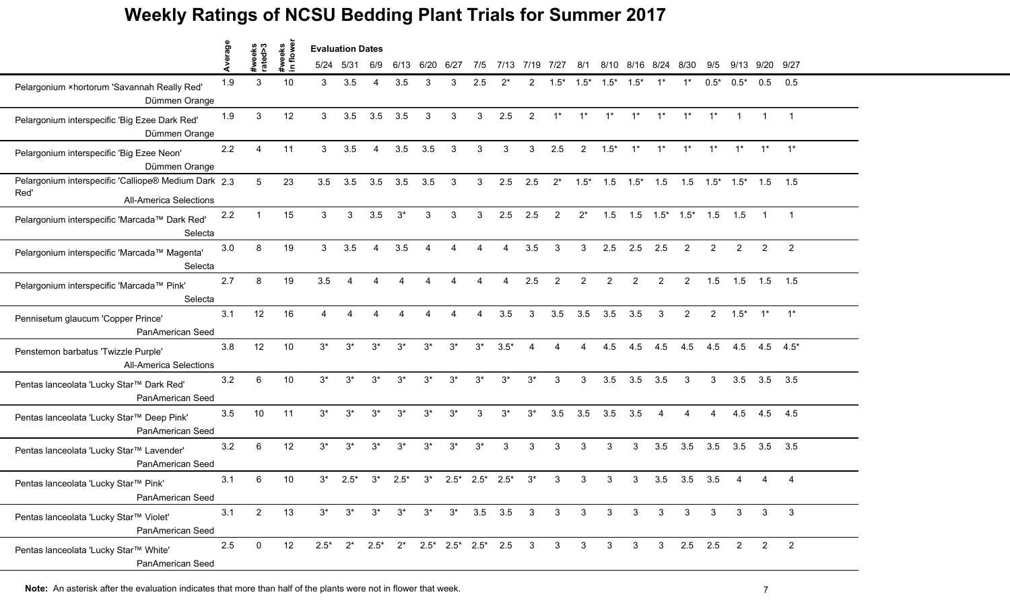|                                                                                               | Average |                   | lowe                   | <b>Evaluation Dates</b> |           |                        |             |                        |        |        |                                                                   |                |                |                |                                                       |               |                       |                |                |                |                |                          |
|-----------------------------------------------------------------------------------------------|---------|-------------------|------------------------|-------------------------|-----------|------------------------|-------------|------------------------|--------|--------|-------------------------------------------------------------------|----------------|----------------|----------------|-------------------------------------------------------|---------------|-----------------------|----------------|----------------|----------------|----------------|--------------------------|
|                                                                                               |         | #weeks<br>rated>3 | #weeks<br>$\mathbf{a}$ |                         | 5/24 5/31 | 6/9                    | 6/13        | 6/20                   | 6/27   | 7/5    | 7/13                                                              | 7/19           | 7/27           | 8/1            |                                                       | $8/10$ $8/16$ | 8/24                  | 8/30           | 9/5            | 9/13           | 9/20 9/27      |                          |
| Pelargonium ×hortorum 'Savannah Really Red'<br>Dümmen Orange                                  | 1.9     | 3                 | 10                     | $\mathbf{3}$            | 3.5       | Δ                      | 3.5         | 3                      | 3      | 2.5    |                                                                   | 2              | $1.5*$         | $1.5*$         | $1.5*$                                                | $1.5*$        |                       |                | $0.5*$         | $0.5*$         | 0.5            | 0.5                      |
| Pelargonium interspecific 'Big Ezee Dark Red'<br>Dümmen Orange                                | 1.9     | 3                 | 12                     | 3                       | 3.5       | 3.5                    | 3.5         | 3                      | 3      | 3      | 2.5                                                               | $\overline{2}$ | $1^*$          | $1^*$          | $1*$                                                  | $1^*$         | $1^*$                 | $1^*$          | $1^*$          |                | $\mathbf{1}$   | $\overline{1}$           |
| Pelargonium interspecific 'Big Ezee Neon'<br>Dümmen Orange                                    | 2.2     | 4                 | 11                     | 3                       | 3.5       | $\boldsymbol{\Lambda}$ | 3.5         | 3.5                    | 3      | 3      | 3                                                                 | 3              | 2.5            | $\overline{2}$ | $1.5*$                                                | $1^*$         | $1^*$                 | $1^*$          | $1^*$          | $1^*$          | $1^*$          | $1^*$                    |
| Pelargonium interspecific 'Calliope® Medium Dark 2.3<br>Red'<br><b>All-America Selections</b> |         | 5                 | 23                     | 3.5                     | 3.5       | 3.5                    | 3.5         | 3.5                    | 3      | 3      | 2.5                                                               | 2.5            | $2^*$          | $1.5*$         | $1.5$ $1.5^*$ $1.5$ $1.5$ $1.5^*$ $1.5^*$ $1.5$ $1.5$ |               |                       |                |                |                |                |                          |
| Pelargonium interspecific 'Marcada™ Dark Red'<br>Selecta                                      | 2.2     |                   | 15                     | 3                       | 3         | 3.5                    | $3^*$       | 3                      | 3      | 3      | 2.5                                                               | 2.5            | 2              | $2^*$          | 1.5                                                   |               | $1.5$ $1.5^*$ $1.5^*$ |                | 1.5            | 1.5            |                |                          |
| Pelargonium interspecific 'Marcada™ Magenta'<br>Selecta                                       | 3.0     | 8                 | 19                     | 3                       | 3.5       | $\overline{4}$         | 3.5         | $\boldsymbol{\Lambda}$ | Δ      | Δ      | Δ                                                                 | 3.5            | 3              | 3              | 2.5                                                   | 2.5           | 2.5                   | $\overline{2}$ | $\overline{2}$ | $\overline{2}$ | $\overline{2}$ | $\overline{2}$           |
| Pelargonium interspecific 'Marcada™ Pink'<br>Selecta                                          | 2.7     | 8                 | 19                     | 3.5                     |           |                        |             |                        |        | Δ      | Δ                                                                 | 2.5            | $\overline{2}$ | $\overline{2}$ | 2                                                     | 2             | 2                     | $\overline{2}$ | 1.5            | 1.5            | 1.5            | 1.5                      |
| Pennisetum glaucum 'Copper Prince'<br>PanAmerican Seed                                        | 3.1     | 12                | 16                     | $\boldsymbol{\Lambda}$  |           |                        |             |                        |        |        | 3.5                                                               | 3              | 3.5            | 3.5            | 3.5                                                   | 3.5           | 3                     | 2              | $\overline{2}$ | $1.5^*$ 1* 1*  |                |                          |
| Penstemon barbatus 'Twizzle Purple'<br><b>All-America Selections</b>                          | 3.8     | 12                | 10                     | $3^*$                   | $3^*$     | $3^*$                  | $3^*$       | $3^*$                  | $3^*$  | $3^*$  | $3.5*$                                                            |                |                |                | 4.5                                                   | 4.5           | 4.5                   | 4.5            | 4.5            | 4.5            |                | $4.5$ $4.5^*$            |
| Pentas lanceolata 'Lucky Star™ Dark Red'<br>PanAmerican Seed                                  | 3.2     | 6                 | 10                     | $3^*$                   | $3^*$     | $3^*$                  | $3^*$       | $3^*$                  | $3^*$  | $3^*$  | $3^*$                                                             | $3^*$          | 3              | 3              | 3.5                                                   | 3.5           | 3.5                   | 3              | 3              | 3.5            | 3.5            | 3.5                      |
| Pentas lanceolata 'Lucky Star™ Deep Pink'<br>PanAmerican Seed                                 | 3.5     | 10                | 11                     | $3^*$                   | $3^*$     | $3^*$                  | $3^*$       | $3^*$                  | $3^*$  | 3      | $3^*$                                                             | $3^*$          | 3.5            | 3.5            | 3.5                                                   | 3.5           | 4                     | 4              | 4              | 4.5            | 4.5            | 4.5                      |
| Pentas lanceolata 'Lucky Star™ Lavender'<br>PanAmerican Seed                                  | 3.2     | 6                 | 12                     | $3^*$                   | $3^*$     | $3^*$                  | $3^*$       | $3^*$                  | $3^*$  | $3^*$  | 3                                                                 | 3              | 3              | 3              | 3                                                     | 3             | 3.5                   | 3.5            | 3.5            | 3.5            | 3.5            | 3.5                      |
| Pentas lanceolata 'Lucky Star™ Pink'<br>PanAmerican Seed                                      | 3.1     | 6                 | 10                     | $3^*$                   | $2.5*$    | $3^*$                  | $2.5*$      | $3^*$                  | $2.5*$ | $2.5*$ | $2.5^*$                                                           | -3*            | 3              | 3              | 3                                                     | 3             | 3.5                   | 3.5            | 3.5            |                | 4              | 4                        |
| Pentas lanceolata 'Lucky Star™ Violet'<br>PanAmerican Seed                                    | 3.1     | $2^{\circ}$       | 13                     | $3^*$                   | $3^*$     |                        | $3^*$ $3^*$ | $3^*$                  |        |        | $3^*$ 3.5 3.5 3 3 3                                               |                |                |                | $3\overline{3}$                                       | $\mathbf{3}$  | $\mathbf{3}$          | $\mathbf{3}$   | 3              | $\mathbf{3}$   | $\mathbf{3}$   | $\overline{\mathbf{3}}$  |
| Pentas lanceolata 'Lucky Star™ White'<br>PanAmerican Seed                                     | 2.5     | $\mathbf 0$       | 12                     |                         |           |                        |             |                        |        |        | $2.5^*$ $2^*$ $2.5^*$ $2^*$ $2.5^*$ $2.5^*$ $2.5^*$ $2.5$ $3$ $3$ |                |                | 3 <sup>3</sup> | 3 <sup>1</sup>                                        | $\mathbf{3}$  | $\mathbf{3}$          |                | $2.5$ 2.5      | $\overline{2}$ | $\overline{2}$ | $\overline{\phantom{0}}$ |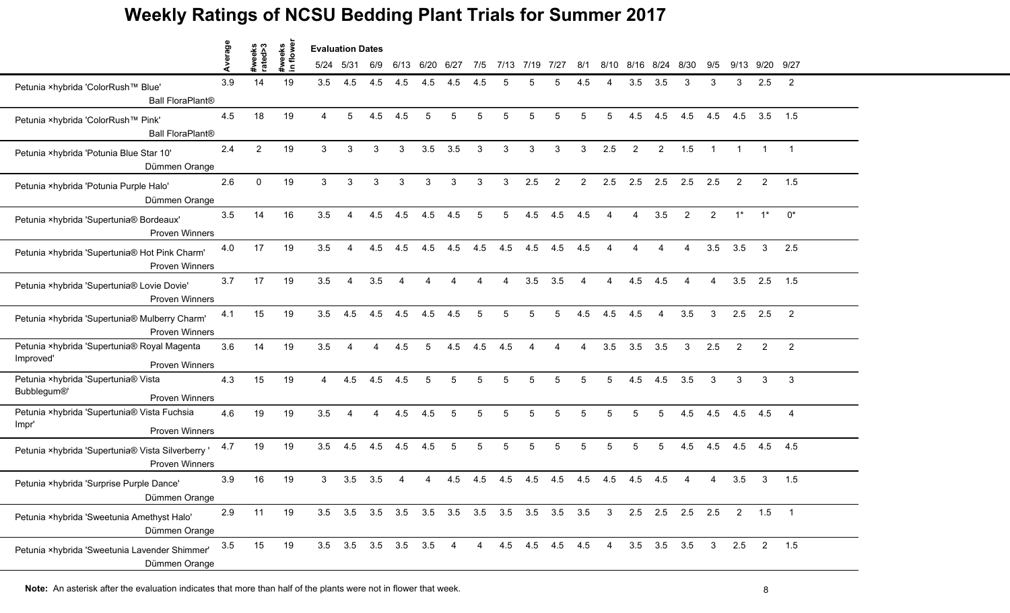|                                                                                   | verage |                   |                     | <b>Evaluation Dates</b> |                 |                        |                          |      |      |                        |                                     |                 |                |                 |                         |                |                   |                        |                      |       |                 |                |
|-----------------------------------------------------------------------------------|--------|-------------------|---------------------|-------------------------|-----------------|------------------------|--------------------------|------|------|------------------------|-------------------------------------|-----------------|----------------|-----------------|-------------------------|----------------|-------------------|------------------------|----------------------|-------|-----------------|----------------|
|                                                                                   | ₫      | #weeks<br>rated>3 | #weeks<br>in flower | 5/24 5/31               |                 | 6/9                    | 6/13                     | 6/20 | 6/27 | 7/5                    | 7/13                                | 7/19            | 7/27           | 8/1             | 8/10                    | 8/16           | 8/24              | 8/30                   | 9/5                  | 9/13  |                 | 9/20 9/27      |
| Petunia ×hybrida 'ColorRush™ Blue'<br><b>Ball FloraPlant®</b>                     | 3.9    | 14                | 19                  | 3.5                     | 4.5             | 4.5                    | 4.5                      | 4.5  | 4.5  | 4.5                    | 5                                   |                 | 5              | 4.5             |                         | 3.5            | 3.5               | 3                      | 3                    | 3     | 2.5             | $\overline{2}$ |
| Petunia ×hybrida 'ColorRush™ Pink'<br><b>Ball FloraPlant®</b>                     | 4.5    | 18                | 19                  | $\overline{4}$          | 5               | 4.5                    | 4.5                      | 5    | 5    | 5                      | 5                                   | 5               | 5              | $5\phantom{.0}$ | 5                       | 4.5            | 4.5               | 4.5                    | 4.5                  | 4.5   | 3.5             | 1.5            |
| Petunia ×hybrida 'Potunia Blue Star 10'<br>Dümmen Orange                          | 2.4    | $\overline{2}$    | 19                  | $\mathbf{3}$            | 3               | 3                      | 3                        | 3.5  | 3.5  | 3                      | 3                                   | 3               | 3              | 3               | 2.5                     | $\overline{2}$ | $\overline{2}$    | 1.5                    | $\blacktriangleleft$ |       |                 |                |
| Petunia ×hybrida 'Potunia Purple Halo'<br>Dümmen Orange                           | 2.6    | $\Omega$          | 19                  | 3                       | 3               | 3                      | 3                        | 3    | 3    | 3                      | 3                                   | 2.5             | $\overline{2}$ | 2               | 2.5                     | 2.5            | 2.5               | 2.5                    | 2.5                  | 2     | $\overline{2}$  | 1.5            |
| Petunia ×hybrida 'Supertunia® Bordeaux'<br><b>Proven Winners</b>                  | 3.5    | 14                | 16                  | 3.5                     |                 | 4.5                    | 4.5                      | 4.5  | 4.5  | 5                      | 5                                   | 4.5             | 4.5            | 4.5             |                         |                | 3.5               | $\mathcal{P}$          | 2                    | $1^*$ | $1^*$           | $0^*$          |
| Petunia ×hybrida 'Supertunia® Hot Pink Charm'<br><b>Proven Winners</b>            | 4.0    | 17                | 19                  | 3.5                     | 4               | 4.5                    | 4.5                      | 4.5  | 4.5  | 4.5                    | 4.5                                 | 4.5             | 4.5            | 4.5             | $\boldsymbol{\Lambda}$  | Δ              | Δ                 | 4                      | 3.5                  | 3.5   | 3               | 2.5            |
| Petunia ×hybrida 'Supertunia® Lovie Dovie'<br><b>Proven Winners</b>               | 3.7    | 17                | 19                  | 3.5                     | 4               | 3.5                    | $\boldsymbol{\varDelta}$ | Δ    | Δ    | $\boldsymbol{\Lambda}$ | 4                                   | 3.5             | 3.5            | $\overline{4}$  | 4                       | 4.5            | 4.5               | $\boldsymbol{\Lambda}$ | 4                    | 3.5   | 2.5             | 1.5            |
| Petunia ×hybrida 'Supertunia® Mulberry Charm'<br><b>Proven Winners</b>            | 4.1    | 15                | 19                  | 3.5                     | 4.5             | 4.5                    | 4.5                      | 4.5  | 4.5  | 5                      | 5                                   | 5               | 5              | 4.5             | 4.5                     | 4.5            | 4                 | 3.5                    | 3                    | 2.5   | 2.5             | $\overline{2}$ |
| Petunia ×hybrida 'Supertunia® Royal Magenta<br>Improved'<br><b>Proven Winners</b> | 3.6    | 14                | 19                  | 3.5                     |                 |                        | 4.5                      | 5    | 4.5  | 4.5                    | 4.5                                 |                 |                |                 | 3.5                     | 3.5            | 3.5               | 3                      | 2.5                  | 2     | $\overline{2}$  | $\overline{2}$ |
| Petunia ×hybrida 'Supertunia® Vista<br>Bubblegum®'<br><b>Proven Winners</b>       | 4.3    | 15                | 19                  | $\overline{4}$          | 4.5             | 4.5                    | 4.5                      | 5    | 5    | 5                      | 5                                   | 5               | 5              | 5               | 5                       | 4.5            | 4.5               | 3.5                    | 3                    | 3     | 3               | 3              |
| Petunia ×hybrida 'Supertunia® Vista Fuchsia<br>Impr'<br><b>Proven Winners</b>     | 4.6    | 19                | 19                  | 3.5                     | 4               | $\boldsymbol{\Lambda}$ | 4.5                      | 4.5  | 5    | 5                      | 5                                   | 5               | 5              | 5               | 5                       | 5              | 5                 | 4.5                    | 4.5                  | 4.5   | 4.5             | $\overline{4}$ |
| Petunia ×hybrida 'Supertunia® Vista Silverberry '<br><b>Proven Winners</b>        | 4.7    | 19                | 19                  | 3.5                     | 4.5             | 4.5                    | 4.5                      | 4.5  | 5    | 5                      | 5                                   | 5               | 5              | 5               | 5                       | 5              | 5                 | 4.5                    | 4.5                  | 4.5   | 4.5             | 4.5            |
| Petunia ×hybrida 'Surprise Purple Dance'<br>Dümmen Orange                         | 3.9    | 16                | 19                  | 3                       | 3.5             | 3.5                    |                          |      | 4.5  | 4.5                    | 4.5                                 | 4.5             | 4.5            | 4.5             | 4.5                     | 4.5            | 4.5               |                        | 4                    | 3.5   | 3               | 1.5            |
| Petunia ×hybrida 'Sweetunia Amethyst Halo'<br>Dümmen Orange                       | 2.9    | 11                | 19                  |                         | $3.5\quad 3.5$  |                        |                          |      |      |                        | 3.5 3.5 3.5 3.5 3.5 3.5 3.5 3.5 3.5 |                 |                |                 | $\overline{\mathbf{3}}$ |                |                   | 2.5 2.5 2.5 2.5        |                      |       | $2 \t 1.5 \t 1$ |                |
| Petunia ×hybrida 'Sweetunia Lavender Shimmer'<br>Dümmen Orange                    | 3.5    | 15                | 19                  |                         | 3.5 3.5 3.5 3.5 |                        |                          | 3.5  | 4    | 4                      |                                     | 4.5 4.5 4.5 4.5 |                |                 | $\overline{4}$          |                | $3.5$ $3.5$ $3.5$ |                        | 3                    | 2.5   | $\overline{2}$  | 1.5            |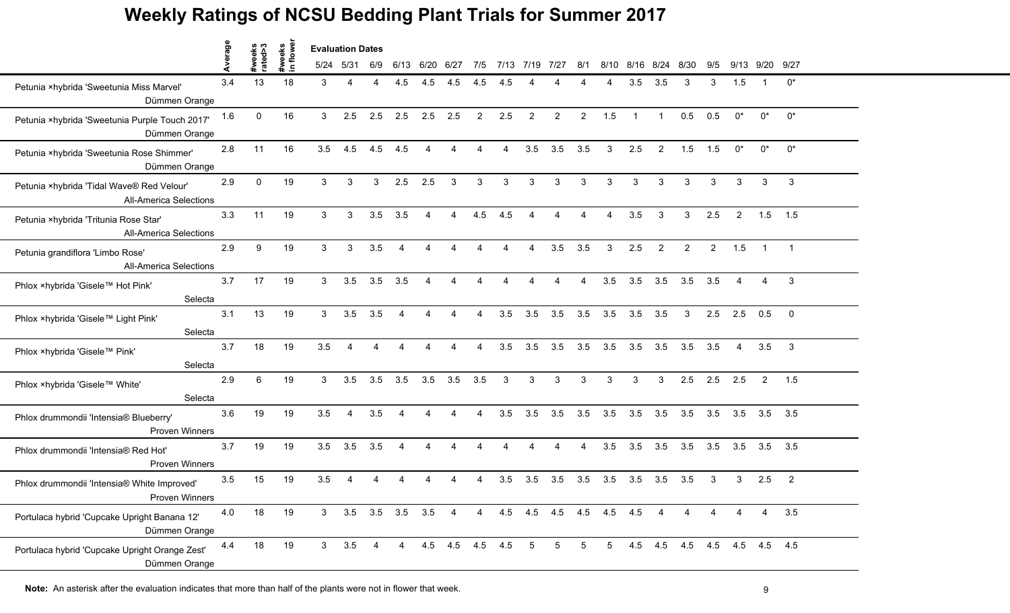|                                                                            | Average |                   | weeks<br>flower |                | <b>Evaluation Dates</b> |                   |                        |                          |                 |                        |                |                        |                |                |      |                |                |                             |                |                |                |                         |
|----------------------------------------------------------------------------|---------|-------------------|-----------------|----------------|-------------------------|-------------------|------------------------|--------------------------|-----------------|------------------------|----------------|------------------------|----------------|----------------|------|----------------|----------------|-----------------------------|----------------|----------------|----------------|-------------------------|
|                                                                            |         | #weeks<br>rated>3 | $\blacksquare$  |                | 5/24 5/31               | 6/9               | 6/13                   | 6/20                     | 6/27            | 7/5                    | 7/13           | 7/19                   | 7127           | 8/1            | 8/10 | 8/16           | 8/24           | 8/30                        | 9/5            | 9/13           | 9/20           | 9/27                    |
| Petunia ×hybrida 'Sweetunia Miss Marvel'<br>Dümmen Orange                  | 3.4     | 13                | 18              | 3              | Δ                       |                   | 4.5                    | 4.5                      | 4.5             | 4.5                    | 4.5            |                        |                |                |      | 3.5            | 3.5            | 3                           | 3              | 1.5            |                | $0^*$                   |
| Petunia ×hybrida 'Sweetunia Purple Touch 2017'<br>Dümmen Orange            | 1.6     | $\Omega$          | 16              | 3              | 2.5                     | 2.5               | 2.5                    | 2.5                      | 2.5             | $\overline{2}$         | 2.5            | $\overline{2}$         | 2              | $\overline{2}$ | 1.5  | $\overline{1}$ | $\overline{1}$ | 0.5                         | 0.5            | $0^*$          | $0^*$          | $0^*$                   |
| Petunia ×hybrida 'Sweetunia Rose Shimmer'<br>Dümmen Orange                 | 2.8     | 11                | 16              | 3.5            | 4.5                     | 4.5               | 4.5                    | $\boldsymbol{\varDelta}$ | 4               | 4                      | $\overline{4}$ | 3.5                    | 3.5            | 3.5            | 3    | 2.5            | $\overline{2}$ | 1.5                         | 1.5            | $0^*$          | $0^*$          | $0^*$                   |
| Petunia ×hybrida 'Tidal Wave® Red Velour'<br><b>All-America Selections</b> | 2.9     | $\mathbf{0}$      | 19              | $\mathbf{3}$   | 3                       | 3                 | 2.5                    | 2.5                      | 3               | 3                      | 3              | 3                      | 3              | 3              | 3    | 3              | 3              | 3                           | 3              | 3              | 3              | 3                       |
| Petunia ×hybrida 'Tritunia Rose Star'<br><b>All-America Selections</b>     | 3.3     | 11                | 19              | 3              | 3                       | 3.5               | 3.5                    | $\Delta$                 | 4               | 4.5                    | 4.5            |                        |                |                | Δ    | 3.5            | 3              | 3                           | 2.5            | $\overline{2}$ | 1.5            | 1.5                     |
| Petunia grandiflora 'Limbo Rose'<br><b>All-America Selections</b>          | 2.9     | 9                 | 19              | $\mathbf{3}$   | 3                       | 3.5               | $\overline{4}$         | $\boldsymbol{\varDelta}$ | 4               | $\boldsymbol{\Lambda}$ | $\overline{4}$ | $\boldsymbol{\Lambda}$ | 3.5            | 3.5            | 3    | 2.5            | $\overline{2}$ | $\overline{2}$              | $\overline{2}$ | 1.5            | $\mathbf{1}$   | $\overline{1}$          |
| Phlox ×hybrida 'Gisele™ Hot Pink'<br>Selecta                               | 3.7     | 17                | 19              | 3              | 3.5                     | 3.5               | 3.5                    | $\boldsymbol{\varDelta}$ | 4               | $\overline{4}$         | $\overline{4}$ | $\boldsymbol{\Lambda}$ | $\overline{4}$ | $\overline{4}$ | 3.5  | $3.5$ $3.5$    |                | 3.5                         | 3.5            | 4              | 4              | 3                       |
| Phlox ×hybrida 'Gisele™ Light Pink'<br>Selecta                             | 3.1     | 13                | 19              | 3              | 3.5                     | 3.5               | $\overline{4}$         | $\boldsymbol{\Lambda}$   | 4               | Δ                      | 3.5            | 3.5                    | 3.5            | 3.5            | 3.5  | 3.5            | 3.5            | 3                           | 2.5            | 2.5            | 0.5            | $\overline{\mathbf{0}}$ |
| Phlox ×hybrida 'Gisele™ Pink'<br>Selecta                                   | 3.7     | 18                | 19              | 3.5            |                         |                   |                        |                          |                 |                        | 3.5            | 3.5                    | 3.5            | 3.5            | 3.5  | 3.5            | 3.5            | 3.5                         | 3.5            | 4              | 3.5            | -3                      |
| Phlox ×hybrida 'Gisele™ White'<br>Selecta                                  | 2.9     | 6                 | 19              | 3              | 3.5                     | 3.5               | 3.5                    | 3.5                      | 3.5             | 3.5                    | 3              | 3                      | 3              | 3              | 3    | 3              | 3              | 2.5                         | 2.5            | 2.5            | 2              | 1.5                     |
| Phlox drummondii 'Intensia® Blueberry'<br><b>Proven Winners</b>            | 3.6     | 19                | 19              | 3.5            | $\overline{4}$          | 3.5               | $\boldsymbol{\Lambda}$ | $\boldsymbol{\varDelta}$ | 4               | $\overline{4}$         | 3.5            | 3.5                    | 3.5            | 3.5            | 3.5  | 3.5            | 3.5            | 3.5                         | 3.5            |                | $3.5\quad 3.5$ | 3.5                     |
| Phlox drummondii 'Intensia® Red Hot'<br><b>Proven Winners</b>              | 3.7     | 19                | 19              | 3.5            | 3.5                     | 3.5               | 4                      | Δ                        |                 | Δ                      | Δ              | Δ                      | 4              | 4              | 3.5  | 3.5            | 3.5            | 3.5                         | 3.5            | 3.5            | 3.5            | 3.5                     |
| Phlox drummondii 'Intensia® White Improved'<br>Proven Winners              | 3.5     | 15                | 19              | 3.5            |                         |                   |                        |                          |                 |                        | 3.5            | 3.5                    | 3.5            | 3.5            | 3.5  | 3.5            | 3.5            | 3.5                         | 3              | 3              | 2.5            | $\overline{2}$          |
| Portulaca hybrid 'Cupcake Upright Banana 12'<br>Dümmen Orange              | 4.0     | 18                | 19              | 3              |                         | $3.5$ $3.5$ $3.5$ |                        | 3.5                      | 4               | 4                      | 4.5            | 4.5 4.5 4.5 4.5 4.5    |                |                |      |                | 4              |                             |                | 4              | 4              | 3.5                     |
| Portulaca hybrid 'Cupcake Upright Orange Zest'<br>Dümmen Orange            | 4.4     | 18                | 19              | 3 <sup>1</sup> | 3.5                     | 4                 | 4                      |                          | 4.5 4.5 4.5 4.5 |                        |                | 5                      | 5              | 5              | 5    |                |                | 4.5 4.5 4.5 4.5 4.5 4.5 4.5 |                |                |                |                         |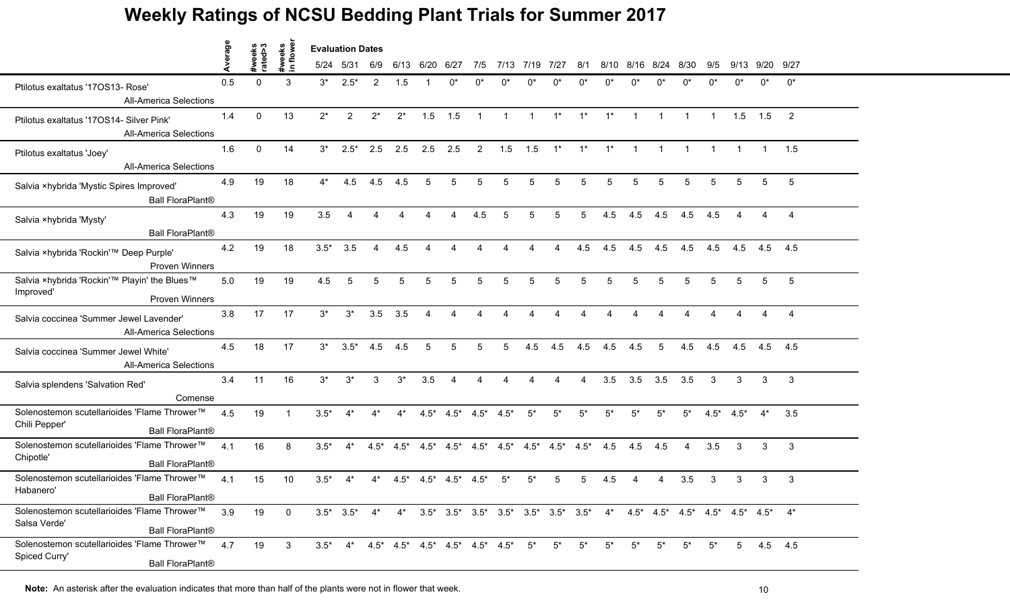|                                                                                          |         |                   |                    | <b>Evaluation Dates</b> |                |        |                                                               |        |                                 |                |                                 |              |                         |       |                                                                                                                                         |                |                |                |              |                |           |                |
|------------------------------------------------------------------------------------------|---------|-------------------|--------------------|-------------------------|----------------|--------|---------------------------------------------------------------|--------|---------------------------------|----------------|---------------------------------|--------------|-------------------------|-------|-----------------------------------------------------------------------------------------------------------------------------------------|----------------|----------------|----------------|--------------|----------------|-----------|----------------|
|                                                                                          | Average | #weeks<br>rated>3 | #weeks<br>in flowe | 5/24                    | 5/31           | 6/9    | 6/13                                                          | 6/20   | 6/27                            | 7/5            | 7/13                            | 7/19         | 7/27                    | 8/1   | 8/10                                                                                                                                    |                | 8/16 8/24      | 8/30           | 9/5          | 9/13           | 9/20 9/27 |                |
| Ptilotus exaltatus '170S13- Rose'<br><b>All-America Selections</b>                       | 0.5     | $\Omega$          | 3                  | $3^*$                   | $2.5*$         | 2      | 1.5                                                           |        | በ*                              | n*             | n*                              | n*           | n*                      | n*    | n*                                                                                                                                      | n*             | n*             | n*             | n*           | n*             | $0^*$     | $0^*$          |
| Ptilotus exaltatus '17OS14- Silver Pink'<br><b>All-America Selections</b>                | 1.4     | $\Omega$          | 13                 | $2^*$                   | $\overline{2}$ | $2^*$  | $2^*$                                                         | 1.5    | 1.5                             | $\overline{1}$ | $\mathbf{1}$                    | $\mathbf{1}$ | $1^*$                   | $1^*$ | $1^*$                                                                                                                                   | $\overline{1}$ | $\overline{1}$ |                |              | 1.5            | 1.5       | $\overline{2}$ |
| Ptilotus exaltatus 'Joey'<br><b>All-America Selections</b>                               | 1.6     | $\mathbf{0}$      | 14                 | $3^*$                   | $2.5*$         | 2.5    | 2.5                                                           | 2.5    | 2.5                             | 2              | 1.5                             | 1.5          | $1^*$                   | $1^*$ | $1^*$                                                                                                                                   | $\overline{1}$ | $\mathbf{1}$   | $\mathbf{1}$   |              | $\overline{1}$ |           | 1.5            |
| Salvia ×hybrida 'Mystic Spires Improved'<br><b>Ball FloraPlant®</b>                      | 4.9     | 19                | 18                 | $4^*$                   | 4.5            | 4.5    | 4.5                                                           | 5      | 5                               | 5              | $\overline{5}$                  | 5            | 5                       | 5     | 5                                                                                                                                       | 5              | 5              | 5              | 5            | 5              | 5         | 5              |
| Salvia ×hybrida 'Mysty'<br><b>Ball FloraPlant®</b>                                       | 4.3     | 19                | 19                 | 3.5                     |                |        |                                                               |        |                                 | 4.5            | 5                               | 5            | 5                       | 5     | 4.5                                                                                                                                     | 4.5            | 4.5            | 4.5            | 4.5          |                |           | $\overline{4}$ |
| Salvia ×hybrida 'Rockin'™ Deep Purple'<br><b>Proven Winners</b>                          | 4.2     | 19                | 18                 | $3.5*$                  | 3.5            | 4      | 4.5                                                           | 4      | Δ                               | 4              | $\mathbf 4$                     | 4            | Δ                       | 4.5   | 4.5                                                                                                                                     | 4.5            | 4.5            | 4.5            | 4.5          | 4.5            | 4.5       | 4.5            |
| Salvia ×hybrida 'Rockin'™ Playin' the Blues™<br>Improved'<br><b>Proven Winners</b>       | 5.0     | 19                | 19                 | 4.5                     | 5              | 5      | 5                                                             | 5      | 5                               | 5              | $\overline{5}$                  | 5            | 5                       | 5     | 5                                                                                                                                       | 5              | 5              | $\overline{5}$ | 5            | 5              | 5         | $\overline{5}$ |
| Salvia coccinea 'Summer Jewel Lavender'<br><b>All-America Selections</b>                 | 3.8     | 17                | 17                 | $3^*$                   | $3^*$          | 3.5    | 3.5                                                           | 4      |                                 | Δ              |                                 |              |                         | Δ     |                                                                                                                                         |                |                |                |              |                |           | $\overline{4}$ |
| Salvia coccinea 'Summer Jewel White'<br><b>All-America Selections</b>                    | 4.5     | 18                | 17                 | $3^*$                   | $3.5*$         | 4.5    | 4.5                                                           | 5      | 5                               | 5              |                                 | 4.5          | 4.5                     | 4.5   | 4.5                                                                                                                                     | 4.5            | 5              | 4.5            | 4.5          | 4.5            | 4.5       | 4.5            |
| Salvia splendens 'Salvation Red'<br>Comense                                              | 3.4     | 11                | 16                 | $3^*$                   | $3^*$          | 3      | $3^*$                                                         | 3.5    | $\overline{4}$                  | 4              | $\boldsymbol{\Lambda}$          | 4            | Δ                       | 4     | 3.5                                                                                                                                     | 3.5            | 3.5            | 3.5            | $\mathbf{3}$ | 3              | 3         | 3              |
| Solenostemon scutellarioides 'Flame Thrower™<br>Chili Pepper'<br><b>Ball FloraPlant®</b> | 4.5     | 19                |                    | $3.5*$                  | $4^*$          | $4^*$  | $4^*$                                                         |        | $4.5^*$ $4.5^*$ $4.5^*$ $4.5^*$ |                |                                 | $5^*$        | $5^*$                   | $5^*$ | $5^*$                                                                                                                                   | $5*$           | $5^*$          | $5^*$          | $4.5*$       | $4.5*$         | $4^*$     | 3.5            |
| Solenostemon scutellarioides 'Flame Thrower™<br>Chipotle'<br><b>Ball FloraPlant®</b>     | 4.1     | 16                | 8                  | $3.5*$                  | $4^*$          | $4.5*$ | $4.5*$                                                        |        |                                 |                | $4.5^*$ $4.5^*$ $4.5^*$ $4.5^*$ |              | $4.5^*$ $4.5^*$ $4.5^*$ |       | 4.5                                                                                                                                     | 4.5            | 4.5            | 4              | 3.5          | 3              | 3         | 3              |
| Solenostemon scutellarioides 'Flame Thrower™<br>Habanero'<br><b>Ball FloraPlant®</b>     | 4.1     | 15                | 10                 | $3.5*$                  |                | 4*     | $4.5*$                                                        | $4.5*$ | $4.5*$                          | $4.5*$         | $5*$                            | 5*           |                         | 5     | 4.5                                                                                                                                     |                |                | 3.5            | 3            | 3              | 3         | 3              |
| Solenostemon scutellarioides 'Flame Thrower™<br>Salsa Verde'<br><b>Ball FloraPlant®</b>  | 3.9     | 19                | $\mathbf{0}$       |                         |                |        |                                                               |        |                                 |                |                                 |              |                         |       | $3.5^*$ $3.5^*$ $4^*$ $4^*$ $3.5^*$ $3.5^*$ $3.5^*$ $3.5^*$ $3.5^*$ $3.5^*$ $4^*$ $4.5^*$ $4.5^*$ $4.5^*$ $4.5^*$ $4.5^*$ $4.5^*$ $4^*$ |                |                |                |              |                |           |                |
| Solenostemon scutellarioides 'Flame Thrower™<br>Spiced Curry'<br><b>Ball FloraPlant®</b> | 4.7     | 19                | 3                  | $3.5*$                  |                |        | $4^*$ $4.5^*$ $4.5^*$ $4.5^*$ $4.5^*$ $4.5^*$ $4.5^*$ $4.5^*$ |        |                                 |                |                                 | $5^*$        | $5^*$                   | $5^*$ | $5*$                                                                                                                                    | $5*$           | $5^*$          | $5^*$          | $5^*$        | $5^{\circ}$    | 4.5 4.5   |                |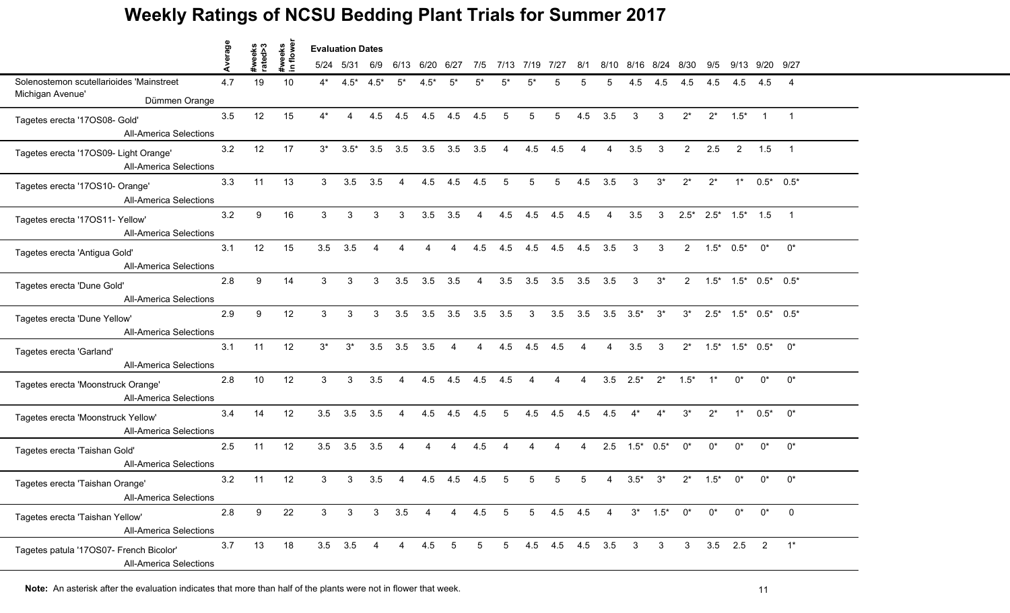|                                                                          |         |                   | weeks<br>1 flowe |       | <b>Evaluation Dates</b> |                |                |                |                   |                |                 |                 |                 |                        |                           |                       |            |                |        |                                     |                  |                |
|--------------------------------------------------------------------------|---------|-------------------|------------------|-------|-------------------------|----------------|----------------|----------------|-------------------|----------------|-----------------|-----------------|-----------------|------------------------|---------------------------|-----------------------|------------|----------------|--------|-------------------------------------|------------------|----------------|
|                                                                          | Average | #weeks<br>rated>3 | $\blacksquare$   |       | 5/24 5/31               | 6/9            | 6/13           | 6/20           | 6/27              | 7/5            |                 | 7/13 7/19       | 7/27            | 8/1                    | 8/10                      | 8/16                  | 8/24       | 8/30           | 9/5    |                                     | 9/13 9/20 9/27   |                |
| Solenostemon scutellarioides 'Mainstreet<br>Michigan Avenue'             | 4.7     | 19                | 10               | 4*    | $4.5^*$ $4.5^*$         |                | $5^*$          | $4.5*$         | $5^*$             | $5^*$          |                 | 5*              | 5               | 5                      | 5                         | 4.5                   | 4.5        | 4.5            | 4.5    | 4.5                                 | 4.5              | $\overline{4}$ |
| Dümmen Orange                                                            |         |                   |                  |       |                         |                |                |                |                   |                |                 |                 |                 |                        |                           |                       |            |                |        |                                     |                  |                |
| Tagetes erecta '17OS08- Gold'<br><b>All-America Selections</b>           | 3.5     | 12                | 15               | $4^*$ | $\overline{4}$          | 4.5            | 4.5            | 4.5            | 4.5               | 4.5            | 5               | $5\phantom{.0}$ | $5\phantom{.0}$ | 4.5                    | 3.5                       | $\mathbf{3}$          | 3          | $2^*$          | $2^*$  | $1.5*$                              | $\overline{1}$   | $\overline{1}$ |
| Tagetes erecta '17OS09- Light Orange'<br><b>All-America Selections</b>   | 3.2     | 12                | 17               | $3^*$ | $3.5*$                  | 3.5            | 3.5            |                | $3.5$ $3.5$ $3.5$ |                | $\overline{4}$  |                 | $4.5$ $4.5$     | $\overline{4}$         | $\overline{4}$            | 3.5                   | 3          | $2^{\circ}$    | 2.5    |                                     | $2 \qquad 1.5$   | $\overline{1}$ |
| Tagetes erecta '17OS10- Orange'<br><b>All-America Selections</b>         | 3.3     | 11                | 13               | 3     | 3.5                     | 3.5            | $\overline{4}$ | 4.5            | 4.5               | 4.5            | 5               | 5               | $5\phantom{.0}$ | 4.5                    | 3.5                       | 3                     | $3^*$      | $2^*$          | $2^*$  |                                     | $1*$ 0.5* 0.5*   |                |
| Tagetes erecta '17OS11- Yellow'<br><b>All-America Selections</b>         | 3.2     | 9                 | 16               | 3     | 3                       | 3              | 3              | 3.5            | 3.5               | $\overline{A}$ | 4.5             | 4.5             | 4.5             | 4.5                    | $\overline{4}$            | 3.5                   | 3          |                |        | $2.5^*$ $2.5^*$ $1.5^*$ $1.5$       |                  | $\overline{1}$ |
| Tagetes erecta 'Antigua Gold'<br><b>All-America Selections</b>           | 3.1     | 12                | 15               | 3.5   | 3.5                     | $\overline{4}$ | 4              | $\overline{4}$ | 4                 | 4.5            | 4.5             | 4.5             | 4.5             | 4.5                    | 3.5                       | $\mathbf{3}$          | 3          |                |        | $2 \t 1.5^* \t 0.5^*$               | $0^*$            | $0^*$          |
| Tagetes erecta 'Dune Gold'<br><b>All-America Selections</b>              | 2.8     | 9                 | 14               | 3     | 3                       | 3              | 3.5            | 3.5            | 3.5               | $\overline{4}$ | 3.5             |                 | $3.5$ $3.5$     |                        | $3.5$ $3.5$               | $\mathbf{3}$          | $3^*$      |                |        | $2$ $1.5^*$ $1.5^*$ $0.5^*$ $0.5^*$ |                  |                |
| Tagetes erecta 'Dune Yellow'<br><b>All-America Selections</b>            | 2.9     | 9                 | 12               | 3     | 3                       | 3              | 3.5            | 3.5            | 3.5               | 3.5            | 3.5             | $\mathbf{3}$    | 3.5             |                        | $3.5$ $3.5$ $3.5^*$ $3^*$ |                       |            | $3^*$          |        | $2.5^*$ $1.5^*$ $0.5^*$ $0.5^*$     |                  |                |
| Tagetes erecta 'Garland'<br><b>All-America Selections</b>                | 3.1     | 11                | 12               | $3^*$ | $3^*$                   | 3.5            | 3.5            | 3.5            | 4                 |                | 4.5             | 4.5             | 4.5             | $\boldsymbol{\Lambda}$ | 4                         | 3.5                   | 3          | $2^*$          |        | $1.5^*$ $1.5^*$ $0.5^*$             |                  | $0^*$          |
| Tagetes erecta 'Moonstruck Orange'<br><b>All-America Selections</b>      | 2.8     | 10                | 12               | 3     | 3                       | 3.5            | $\overline{4}$ | 4.5            | 4.5               | 4.5            | 4.5             | $\overline{4}$  | $\overline{4}$  | $\overline{4}$         |                           | $3.5$ $2.5^*$ $2^*$   |            | $1.5^*$ 1*     |        | $0^*$                               | $0^*$            | $0^*$          |
| Tagetes erecta 'Moonstruck Yellow'<br><b>All-America Selections</b>      | 3.4     | 14                | 12               | 3.5   | 3.5                     | 3.5            | $\overline{4}$ | 4.5            | 4.5 4.5           |                | $5\overline{)}$ | 4.5             | 4.5             | 4.5                    | 4.5                       | $4^*$ $4^*$           |            | $3^*$          | $2^*$  |                                     | $1^*$ 0.5* $0^*$ |                |
| Tagetes erecta 'Taishan Gold'<br><b>All-America Selections</b>           | 2.5     | 11                | 12               | 3.5   | 3.5                     | 3.5            | $\overline{4}$ | 4              | 4                 | 4.5            | $\overline{4}$  | $\overline{4}$  | $\overline{4}$  | $\overline{4}$         |                           | $2.5$ $1.5^*$ $0.5^*$ |            | $0^*$          | $0^*$  | $0^*$                               | $0^*$            | $0^*$          |
| Tagetes erecta 'Taishan Orange'<br><b>All-America Selections</b>         | 3.2     | 11                | 12               | 3     | 3                       | 3.5            | 4              | 4.5            | 4.5               | 4.5            | 5               | 5               | 5               | 5                      | 4                         | $3.5*$                | $3^*$      | $2^*$          | $1.5*$ | 0*                                  | $0^*$            | $0^*$          |
| Tagetes erecta 'Taishan Yellow'<br><b>All-America Selections</b>         | $2.8\,$ | 9                 | 22               | 3     | 3                       | 3              | 3.5            | $\overline{4}$ | $\overline{4}$    | 4.5            | 5               |                 | 5 4.5 4.5 4     |                        |                           |                       | $3^*$ 1.5* | 0*             | $0^*$  | $0^*$                               | $0^*$            | $\mathbf 0$    |
| Tagetes patula '17OS07- French Bicolor'<br><b>All-America Selections</b> | 3.7     | 13                | 18               |       | $3.5$ $3.5$             | $\overline{4}$ | $\overline{4}$ | 4.5            | 5                 | 5              | 5 <sub>5</sub>  |                 | 4.5 4.5 4.5 3.5 |                        |                           | $\mathbf{3}$          | 3          | 3 <sup>7</sup> |        | $3.5$ 2.5                           | $\overline{2}$   | $1^*$          |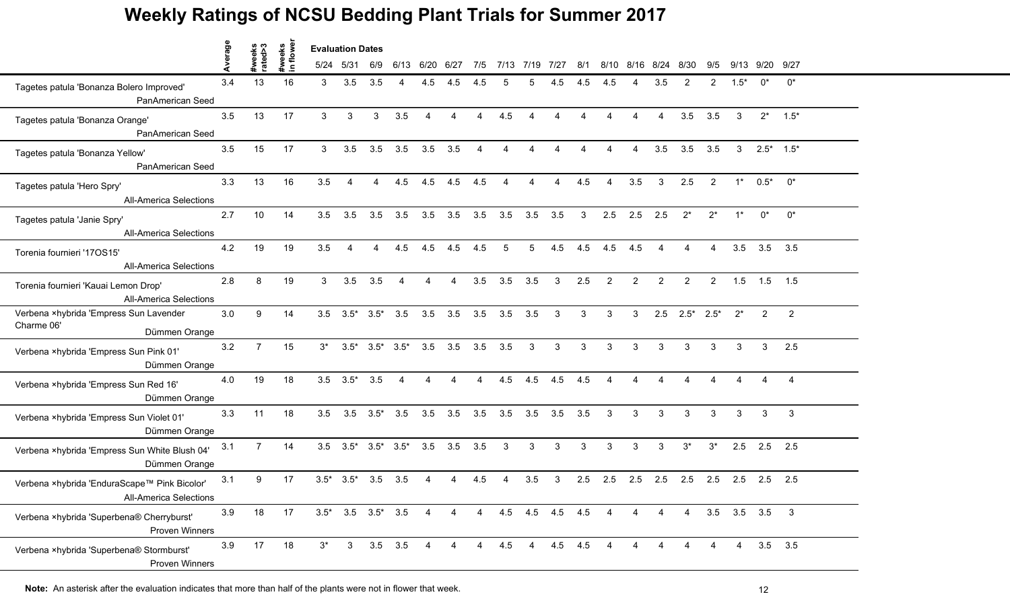|                                                                               | Average |                   | owe                    | <b>Evaluation Dates</b> |                               |                         |                |                |      |                        |                |                        |                 |                          |                |                          |                |                        |                        |          |                       |                |
|-------------------------------------------------------------------------------|---------|-------------------|------------------------|-------------------------|-------------------------------|-------------------------|----------------|----------------|------|------------------------|----------------|------------------------|-----------------|--------------------------|----------------|--------------------------|----------------|------------------------|------------------------|----------|-----------------------|----------------|
|                                                                               |         | #weeks<br>rated>3 | #weeks<br>$\mathbf{r}$ |                         | 5/24 5/31                     | 6/9                     | 6/13           | 6/20           | 6/27 | 7/5                    | 7/13           | 7/19                   | 7/27            | 8/1                      | 8/10           | 8/16                     | 8/24           | 8/30                   | 9/5                    | 9/13     | 9/20                  | 9/27           |
| Tagetes patula 'Bonanza Bolero Improved'<br>PanAmerican Seed                  | 3.4     | 13                | 16                     | 3                       | 3.5                           | 3.5                     |                | 4.5            | 4.5  | 4.5                    |                | 5                      | 4.5             | 4.5                      | 4.5            |                          | 3.5            |                        | 2                      | $1.5*$   | $0^*$                 | $0^*$          |
| Tagetes patula 'Bonanza Orange'<br>PanAmerican Seed                           | 3.5     | 13                | 17                     | $\mathbf{3}$            | 3                             | 3                       | 3.5            | $\Delta$       | 4    | $\boldsymbol{\Lambda}$ | 4.5            | $\boldsymbol{\Lambda}$ | 4               | $\boldsymbol{\varDelta}$ | Δ              | $\boldsymbol{\varDelta}$ | $\overline{4}$ | 3.5                    | 3.5                    | 3        | $2^*$                 | $1.5*$         |
| Tagetes patula 'Bonanza Yellow'<br>PanAmerican Seed                           | 3.5     | 15                | 17                     | 3                       | 3.5                           | 3.5                     | 3.5            | 3.5            | 3.5  | $\overline{4}$         | 4              | $\overline{4}$         | 4               | $\boldsymbol{\Lambda}$   | $\overline{4}$ | $\overline{4}$           | 3.5            | 3.5                    | 3.5                    | 3        |                       | $2.5^*$ 1.5*   |
| Tagetes patula 'Hero Spry'<br><b>All-America Selections</b>                   | 3.3     | 13                | 16                     | 3.5                     | 4                             | $\overline{4}$          | 4.5            | 4.5            | 4.5  | 4.5                    | $\overline{4}$ | 4                      | $\overline{4}$  | 4.5                      | $\overline{4}$ | 3.5                      | 3              | 2.5                    | 2                      | $1^*$    | $0.5^*$               | $0^*$          |
| Tagetes patula 'Janie Spry'<br><b>All-America Selections</b>                  | 2.7     | 10                | 14                     | 3.5                     | 3.5                           | 3.5                     | 3.5            | 3.5            | 3.5  | 3.5                    | 3.5            | 3.5                    | 3.5             | 3                        | 2.5            | 2.5                      | 2.5            | $2^*$                  | $2^*$                  |          | $0^*$                 | $0^*$          |
| Torenia fournieri '170S15'<br><b>All-America Selections</b>                   | 4.2     | 19                | 19                     | 3.5                     | 4                             | $\boldsymbol{\Lambda}$  | 4.5            | 4.5            | 4.5  | 4.5                    | 5              | 5                      | 4.5             | 4.5                      | 4.5            | 4.5                      | $\overline{4}$ | $\overline{4}$         | $\overline{4}$         | 3.5      | 3.5                   | 3.5            |
| Torenia fournieri 'Kauai Lemon Drop'<br><b>All-America Selections</b>         | 2.8     | 8                 | 19                     | 3                       | 3.5                           | 3.5                     | $\overline{4}$ | $\overline{4}$ | 4    | 3.5                    | 3.5            | 3.5                    | 3               | 2.5                      | $\overline{2}$ | $\overline{2}$           | $\overline{2}$ | 2                      | $\overline{2}$         |          | $1.5$ 1.5             | 1.5            |
| Verbena ×hybrida 'Empress Sun Lavender<br>Charme 06'<br>Dümmen Orange         | 3.0     | 9                 | 14                     |                         | $3.5$ $3.5^*$ $3.5^*$         |                         | 3.5            | 3.5            | 3.5  | 3.5                    | 3.5            | 3.5                    | 3               | 3                        | 3              | 3                        | 2.5            | $2.5^*$ 2.5*           |                        | $2^*$    | $\overline{2}$        | 2              |
| Verbena ×hybrida 'Empress Sun Pink 01'<br>Dümmen Orange                       | 3.2     | $\overline{7}$    | 15                     | $3^*$                   |                               | $3.5^*$ $3.5^*$ $3.5^*$ |                | 3.5            | 3.5  | 3.5                    | 3.5            | 3                      | 3               | 3                        | 3              | 3                        | 3              | 3                      | 3                      | 3        | 3                     | 2.5            |
| Verbena ×hybrida 'Empress Sun Red 16'<br>Dümmen Orange                        | 4.0     | 19                | 18                     |                         | $3.5\quad 3.5^*$              | 3.5                     | $\overline{4}$ | $\overline{4}$ | 4    | $\boldsymbol{\Lambda}$ | 4.5            | 4.5                    | 4.5             | 4.5                      | $\overline{4}$ | $\boldsymbol{\varDelta}$ | 4              | $\boldsymbol{\Lambda}$ | $\boldsymbol{\Lambda}$ | $\Delta$ | 4                     | $\overline{4}$ |
| Verbena ×hybrida 'Empress Sun Violet 01'<br>Dümmen Orange                     | 3.3     | 11                | 18                     | 3.5                     |                               | $3.5$ $3.5^*$ $3.5$     |                | 3.5            | 3.5  | 3.5                    | 3.5            | 3.5                    | 3.5             | 3.5                      | 3              | 3                        | 3              | $\mathcal{S}$          | $\mathbf{3}$           | 3        | 3                     | 3              |
| Verbena ×hybrida 'Empress Sun White Blush 04'<br>Dümmen Orange                | 3.1     | $7\overline{ }$   | 14                     |                         | $3.5$ $3.5^*$ $3.5^*$ $3.5^*$ |                         |                | 3.5            | 3.5  | 3.5                    | $\mathbf{3}$   | 3                      | 3               | 3                        | 3              | 3                        | 3              | $3^*$                  | $3^*$                  | 2.5      | 2.5                   | 2.5            |
| Verbena ×hybrida 'EnduraScape™ Pink Bicolor'<br><b>All-America Selections</b> | 3.1     | 9                 | 17                     | $3.5*$                  | $3.5*$                        | 3.5                     | 3.5            |                |      | 4.5                    |                | 3.5                    | 3               | 2.5                      | 2.5            | 2.5                      | 2.5            | 2.5                    | 2.5                    |          | $2.5$ 2.5             | 2.5            |
| Verbena ×hybrida 'Superbena® Cherryburst'<br>Proven Winners                   | 3.9     | 18                | 17                     |                         | $3.5^*$ $3.5$ $3.5^*$ $3.5$   |                         |                | 4              | 4    | 4                      |                |                        | 4.5 4.5 4.5 4.5 |                          | 4              | 4                        | 4              | 4                      |                        |          | $3.5$ $3.5$ $3.5$ $3$ |                |
| Verbena ×hybrida 'Superbena® Stormburst'<br><b>Proven Winners</b>             | 3.9     | 17                | 18                     | $3^*$                   | $3^{\circ}$                   | $3.5$ $3.5$             |                | 4              | 4    | $\overline{4}$         | 4.5            | $\overline{4}$         |                 | 4.5 4.5                  | 4              | Δ                        | 4              |                        |                        | 4        |                       | $3.5$ $3.5$    |